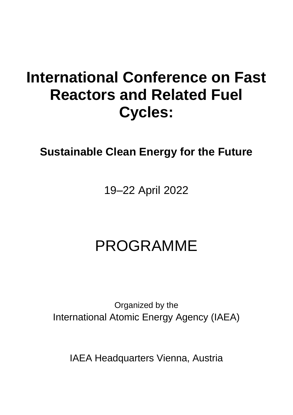# **International Conference on Fast Reactors and Related Fuel Cycles:**

## **Sustainable Clean Energy for the Future**

## 19–22 April 2022

# PROGRAMME

Organized by the International Atomic Energy Agency (IAEA)

IAEA Headquarters Vienna, Austria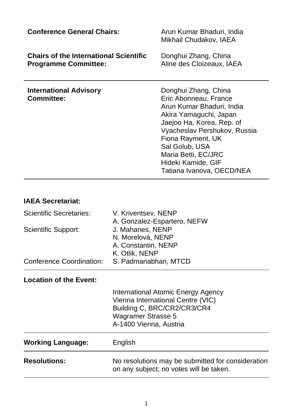| <b>Conference General Chairs:</b>                                            | Arun Kumar Bhaduri, India<br>Mikhail Chudakov, IAEA                                                                                                                                                                                                                                |
|------------------------------------------------------------------------------|------------------------------------------------------------------------------------------------------------------------------------------------------------------------------------------------------------------------------------------------------------------------------------|
| <b>Chairs of the International Scientific</b><br><b>Programme Committee:</b> | Donghui Zhang, China<br>Aline des Cloizeaux, IAEA                                                                                                                                                                                                                                  |
| <b>International Advisory</b><br>Committee:                                  | Donghui Zhang, China<br>Eric Abonneau, France<br>Arun Kumar Bhaduri, India<br>Akira Yamaguchi, Japan<br>Jaejoo Ha, Korea, Rep. of<br>Vyacheslav Pershukov, Russia<br>Fiona Rayment, UK<br>Sal Golub, USA<br>Maria Betti, EC/JRC<br>Hideki Kamide, GIF<br>Tatiana Ivanova, OECD/NEA |

### **IAEA Secretariat:**

| Scientific Secretaries:<br>Scientific Support:<br>Conference Coordination: | V. Kriventsev, NENP<br>A. Gonzalez-Espartero, NEFW<br>J. Mahanes, NENP<br>N. Morelová, NENP<br>A. Constantin, NENP<br>K. Otlik, NENP<br>S. Padmanabhan, MTCD  |
|----------------------------------------------------------------------------|---------------------------------------------------------------------------------------------------------------------------------------------------------------|
| <b>Location of the Event:</b>                                              |                                                                                                                                                               |
|                                                                            | International Atomic Energy Agency<br>Vienna International Centre (VIC)<br>Building C, BRC/CR2/CR3/CR4<br><b>Wagramer Strasse 5</b><br>A-1400 Vienna, Austria |
| <b>Working Language:</b>                                                   | English                                                                                                                                                       |
| <b>Resolutions:</b>                                                        | No resolutions may be submitted for consideration<br>on any subject; no votes will be taken.                                                                  |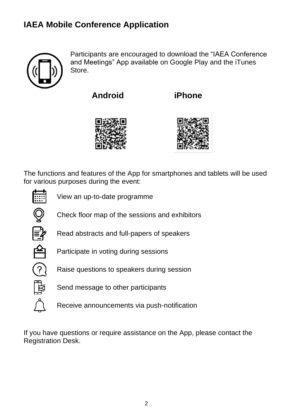### **IAEA Mobile Conference Application**



Participants are encouraged to download the "IAEA Conference and Meetings" App available on Google Play and the iTunes Store.

**Android iPhone**





The functions and features of the App for smartphones and tablets will be used for various purposes during the event:



View an up-to-date programme



Check floor map of the sessions and exhibitors



Read abstracts and full-papers of speakers



Participate in voting during sessions



Raise questions to speakers during session



Send message to other participants

Receive announcements via push-notification

If you have questions or require assistance on the App, please contact the Registration Desk.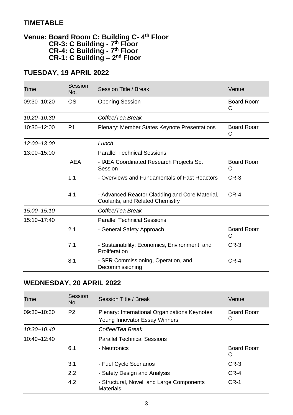### **TIMETABLE**

#### **Venue: Board Room C: Building C- 4 th Floor CR-3: C Building - 7 th Floor CR-4: C Building - 7 th Floor CR-1: C Building – 2 nd Floor**

### **TUESDAY, 19 APRIL 2022**

| Time            | Session<br>No. | Session Title / Break                                                             | Venue           |
|-----------------|----------------|-----------------------------------------------------------------------------------|-----------------|
| 09:30-10:20     | OS             | <b>Opening Session</b>                                                            | Board Room<br>C |
| $10:20 - 10:30$ |                | Coffee/Tea Break                                                                  |                 |
| 10:30-12:00     | P <sub>1</sub> | Board Room<br>Plenary: Member States Keynote Presentations<br>С                   |                 |
| 12:00-13:00     |                | Lunch                                                                             |                 |
| 13:00-15:00     |                | <b>Parallel Technical Sessions</b>                                                |                 |
|                 | <b>IAEA</b>    | - IAEA Coordinated Research Projects Sp.<br>Session                               | Board Room<br>C |
|                 | 1.1            | - Overviews and Fundamentals of Fast Reactors                                     | $CR-3$          |
|                 | 4.1            | - Advanced Reactor Cladding and Core Material,<br>Coolants, and Related Chemistry | CR-4            |
| 15:00-15:10     |                | Coffee/Tea Break                                                                  |                 |
| 15:10-17:40     |                | <b>Parallel Technical Sessions</b>                                                |                 |
|                 | 2.1            | - General Safety Approach                                                         | Board Room<br>C |
|                 | 7.1            | - Sustainability: Economics, Environment, and<br>Proliferation                    | $CR-3$          |
|                 | 8.1            | - SFR Commissioning, Operation, and<br>Decommissioning                            | CR-4            |

### **WEDNESDAY, 20 APRIL 2022**

| Time            | Session<br>No. | Session Title / Break                                                                              | Venue           |
|-----------------|----------------|----------------------------------------------------------------------------------------------------|-----------------|
| 09:30-10:30     | P <sub>2</sub> | Plenary: International Organizations Keynotes,<br>Board Room<br>С<br>Young Innovator Essay Winners |                 |
| 10:30-10:40     |                | Coffee/Tea Break                                                                                   |                 |
| $10:40 - 12:40$ |                | <b>Parallel Technical Sessions</b>                                                                 |                 |
|                 | 6.1            | - Neutronics                                                                                       | Board Room<br>С |
|                 | 3.1            | - Fuel Cycle Scenarios                                                                             | $CR-3$          |
|                 | 2.2            | - Safety Design and Analysis                                                                       | CR-4            |
|                 | 4.2            | - Structural, Novel, and Large Components<br><b>Materials</b>                                      | $CR-1$          |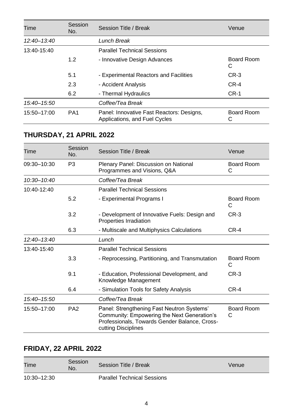| Time        | Session<br>No.  | Session Title / Break<br>Venue                                             |                        |
|-------------|-----------------|----------------------------------------------------------------------------|------------------------|
| 12:40-13:40 |                 | Lunch Break                                                                |                        |
| 13:40-15:40 |                 | <b>Parallel Technical Sessions</b>                                         |                        |
|             | 1.2             | - Innovative Design Advances                                               | Board Room<br>С        |
|             | 5.1             | - Experimental Reactors and Facilities                                     | $CR-3$                 |
|             | 2.3             | - Accident Analysis                                                        | CR-4                   |
|             | 6.2             | - Thermal Hydraulics                                                       | $CR-1$                 |
| 15:40-15:50 |                 | Coffee/Tea Break                                                           |                        |
| 15:50-17:00 | PA <sub>1</sub> | Panel: Innovative Fast Reactors: Designs,<br>Applications, and Fuel Cycles | <b>Board Room</b><br>С |

| Time            | Session<br>No.  | Session Title / Break<br>Venue                                                                                                                                    |                        |
|-----------------|-----------------|-------------------------------------------------------------------------------------------------------------------------------------------------------------------|------------------------|
| 09:30-10:30     | P <sub>3</sub>  | Plenary Panel: Discussion on National<br>Programmes and Visions, Q&A                                                                                              | Board Room<br>С        |
| $10:30 - 10:40$ |                 | Coffee/Tea Break                                                                                                                                                  |                        |
| 10:40-12:40     |                 | <b>Parallel Technical Sessions</b>                                                                                                                                |                        |
|                 | 5.2             | - Experimental Programs I                                                                                                                                         | <b>Board Room</b><br>C |
|                 | 3.2             | - Development of Innovative Fuels: Design and<br>Properties Irradiation                                                                                           | $CR-3$                 |
|                 | 6.3             | - Multiscale and Multiphysics Calculations                                                                                                                        | CR-4                   |
| 12:40-13:40     |                 | Lunch                                                                                                                                                             |                        |
| 13:40-15:40     |                 | <b>Parallel Technical Sessions</b>                                                                                                                                |                        |
|                 | 3.3             | - Reprocessing, Partitioning, and Transmutation                                                                                                                   | Board Room<br>С        |
|                 | 9.1             | - Education, Professional Development, and<br>Knowledge Management                                                                                                | $CR-3$                 |
|                 | 6.4             | - Simulation Tools for Safety Analysis                                                                                                                            | $CR-4$                 |
| 15:40-15:50     |                 | Coffee/Tea Break                                                                                                                                                  |                        |
| 15:50-17:00     | PA <sub>2</sub> | Panel: Strengthening Fast Neutron Systems'<br>Community: Empowering the Next Generation's<br>Professionals, Towards Gender Balance, Cross-<br>cutting Disciplines | Board Room<br>С        |

### **FRIDAY, 22 APRIL 2022**

| Time        | Session<br>No. | Session Title / Break              | Venue |
|-------------|----------------|------------------------------------|-------|
| 10:30-12:30 |                | <b>Parallel Technical Sessions</b> |       |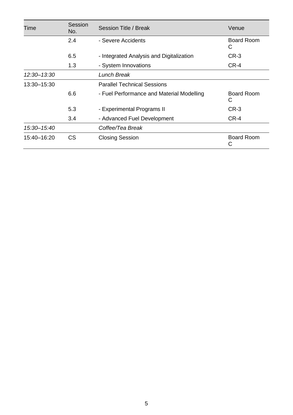| Time        | Session<br>No. | Session Title / Break                     | Venue                  |  |
|-------------|----------------|-------------------------------------------|------------------------|--|
|             | 2.4            | - Severe Accidents                        | Board Room<br>С        |  |
|             | 6.5            | - Integrated Analysis and Digitalization  | CR-3                   |  |
|             | 1.3            | - System Innovations                      | $CR-4$                 |  |
| 12:30-13:30 |                | Lunch Break                               |                        |  |
| 13:30-15:30 |                | <b>Parallel Technical Sessions</b>        |                        |  |
|             | 6.6            | - Fuel Performance and Material Modelling | <b>Board Room</b><br>C |  |
|             | 5.3            | - Experimental Programs II                | $CR-3$                 |  |
|             | 3.4            | - Advanced Fuel Development               | $CR-4$                 |  |
| 15:30-15:40 |                | Coffee/Tea Break                          |                        |  |
| 15:40-16:20 | СS             | <b>Closing Session</b>                    | <b>Board Room</b><br>С |  |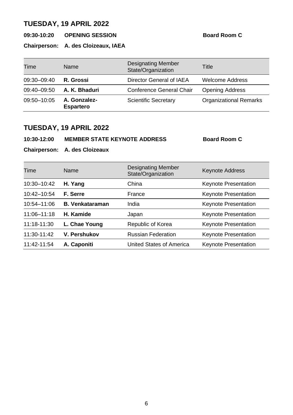**09:30-10:20 OPENING SESSION Board Room C**

**Chairperson: A. des Cloizeaux, IAEA**

| Time        | Name                             | <b>Designating Member</b><br>State/Organization | Title                         |
|-------------|----------------------------------|-------------------------------------------------|-------------------------------|
| 09:30-09:40 | R. Grossi                        | Director General of IAEA                        | <b>Welcome Address</b>        |
| 09:40-09:50 | A. K. Bhaduri                    | Conference General Chair                        | <b>Opening Address</b>        |
| 09:50-10:05 | A. Gonzalez-<br><b>Espartero</b> | <b>Scientific Secretary</b>                     | <b>Organizational Remarks</b> |

### **TUESDAY, 19 APRIL 2022**

**10:30-12:00 MEMBER STATE KEYNOTE ADDRESS Board Room C**

**Chairperson: A. des Cloizeaux**

| Time        | Name                   | <b>Designating Member</b><br>State/Organization | <b>Keynote Address</b>      |
|-------------|------------------------|-------------------------------------------------|-----------------------------|
| 10:30-10:42 | H. Yang                | China                                           | Keynote Presentation        |
| 10:42-10:54 | F. Serre               | France                                          | <b>Keynote Presentation</b> |
| 10:54-11:06 | <b>B. Venkataraman</b> | India                                           | <b>Keynote Presentation</b> |
| 11:06-11:18 | H. Kamide              | Japan                                           | <b>Keynote Presentation</b> |
| 11:18-11:30 | L. Chae Young          | Republic of Korea                               | Keynote Presentation        |
| 11:30-11:42 | V. Pershukov           | <b>Russian Federation</b>                       | <b>Keynote Presentation</b> |
| 11:42-11:54 | A. Caponiti            | United States of America                        | <b>Keynote Presentation</b> |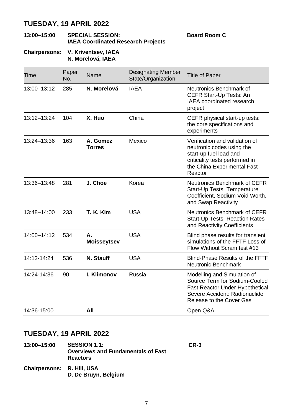#### **13:00–15:00 SPECIAL SESSION: IAEA Coordinated Research Projects**

**Board Room C**

#### **Chairpersons: V. Kriventsev, IAEA N. Morelová, IAEA**

| Time        | Paper<br>No. | Name                      | <b>Designating Member</b><br>State/Organization | <b>Title of Paper</b>                                                                                                                                             |
|-------------|--------------|---------------------------|-------------------------------------------------|-------------------------------------------------------------------------------------------------------------------------------------------------------------------|
| 13:00-13:12 | 285          | N. Morelová               | <b>IAEA</b>                                     | Neutronics Benchmark of<br>CEFR Start-Up Tests: An<br><b>IAEA</b> coordinated research<br>project                                                                 |
| 13:12-13:24 | 104          | X. Huo                    | China                                           | CEFR physical start-up tests:<br>the core specifications and<br>experiments                                                                                       |
| 13:24-13:36 | 163          | A. Gomez<br><b>Torres</b> | Mexico                                          | Verification and validation of<br>neutronic codes using the<br>start-up fuel load and<br>criticality tests performed in<br>the China Experimental Fast<br>Reactor |
| 13:36-13:48 | 281          | J. Choe                   | Korea                                           | Neutronics Benchmark of CEFR<br>Start-Up Tests: Temperature<br>Coefficient, Sodium Void Worth,<br>and Swap Reactivity                                             |
| 13:48-14:00 | 233          | T. K. Kim                 | <b>USA</b>                                      | Neutronics Benchmark of CEFR<br>Start-Up Tests: Reaction Rates<br>and Reactivity Coefficients                                                                     |
| 14:00-14:12 | 534          | А.<br><b>Moisseytsev</b>  | <b>USA</b>                                      | Blind phase results for transient<br>simulations of the FFTF Loss of<br>Flow Without Scram test #13                                                               |
| 14:12-14:24 | 536          | N. Stauff                 | <b>USA</b>                                      | Blind-Phase Results of the FFTF<br>Neutronic Benchmark                                                                                                            |
| 14:24-14:36 | 90           | I. Klimonov               | Russia                                          | Modelling and Simulation of<br>Source Term for Sodium-Cooled<br>Fast Reactor Under Hypothetical<br>Severe Accident: Radionuclide<br>Release to the Cover Gas      |
| 14:36-15:00 |              | All                       |                                                 | Open Q&A                                                                                                                                                          |

### **TUESDAY, 19 APRIL 2022**

| 13:00-15:00                | <b>SESSION 1.1:</b><br><b>Overviews and Fundamentals of Fast</b><br><b>Reactors</b> | $CR-3$ |
|----------------------------|-------------------------------------------------------------------------------------|--------|
| Chairpersons: R. Hill, USA | D. De Bruyn, Belgium                                                                |        |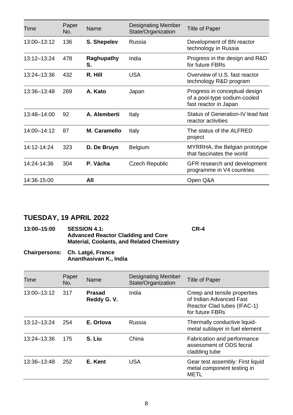| Time        | Paper<br>No. | Name             | <b>Designating Member</b><br>State/Organization | <b>Title of Paper</b>                                                                  |
|-------------|--------------|------------------|-------------------------------------------------|----------------------------------------------------------------------------------------|
| 13:00-13:12 | 136          | S. Shepelev      | Russia                                          | Development of BN reactor<br>technology in Russia                                      |
| 13:12-13:24 | 478          | Raghupathy<br>S. | India                                           | Progress in the design and R&D<br>for future FBRs                                      |
| 13:24-13:36 | 432          | R. Hill          | USA                                             | Overview of U.S. fast reactor<br>technology R&D program                                |
| 13:36-13:48 | 269          | A. Kato          | Japan                                           | Progress in conceptual design<br>of a pool-type sodium-cooled<br>fast reactor in Japan |
| 13:48-14:00 | 92           | A. Alemberti     | Italy                                           | Status of Generation-IV lead fast<br>reactor activities                                |
| 14:00-14:12 | 87           | M. Caramello     | Italy                                           | The status of the ALFRED<br>project                                                    |
| 14:12-14:24 | 323          | D. De Bruyn      | Belgium                                         | MYRRHA, the Belgian prototype<br>that fascinates the world                             |
| 14:24-14:36 | 304          | P. Vácha         | Czech Republic                                  | GFR research and development<br>programme in V4 countries                              |
| 14:36-15:00 |              | All              |                                                 | Open Q&A                                                                               |

| 13:00-15:00 | <b>SESSION 4.1:</b>                              | CR-4 |
|-------------|--------------------------------------------------|------|
|             | <b>Advanced Reactor Cladding and Core</b>        |      |
|             | <b>Material, Coolants, and Related Chemistry</b> |      |

**Chairpersons: Ch. Latgé, France Ananthasivan K., India**

| Time        | Paper<br>No. | Name                        | Designating Member<br>State/Organization | <b>Title of Paper</b>                                                                                     |
|-------------|--------------|-----------------------------|------------------------------------------|-----------------------------------------------------------------------------------------------------------|
| 13:00-13:12 | 317          | <b>Prasad</b><br>Reddy G.V. | India                                    | Creep and tensile properties<br>of Indian Advanced Fast<br>Reactor Clad tubes (IFAC-1)<br>for future FBRs |
| 13:12-13:24 | 254          | E. Orlova                   | Russia                                   | Thermally conductive liquid-<br>metal sublayer in fuel element                                            |
| 13:24-13:36 | 175          | S. Liu                      | China                                    | Fabrication and performance<br>assessment of ODS fecral<br>cladding tube                                  |
| 13:36-13:48 | 252          | E. Kent                     | <b>USA</b>                               | Gear test assembly: First liquid<br>metal component testing in<br>METL                                    |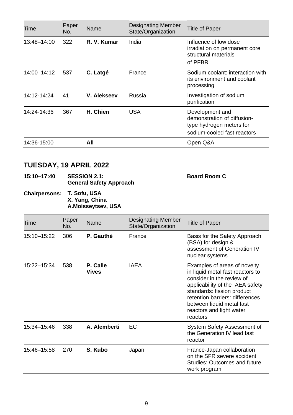| Time                                                          | Paper<br>No. | Name                                                                                                          | <b>Designating Member</b><br>State/Organization | <b>Title of Paper</b>                                                                                                                                                                                                                                                   |  |
|---------------------------------------------------------------|--------------|---------------------------------------------------------------------------------------------------------------|-------------------------------------------------|-------------------------------------------------------------------------------------------------------------------------------------------------------------------------------------------------------------------------------------------------------------------------|--|
| 13:48-14:00                                                   | 322          | R. V. Kumar                                                                                                   | India                                           | Influence of low dose<br>irradiation on permanent core<br>structural materials<br>of PFBR                                                                                                                                                                               |  |
| 14:00-14:12                                                   | 537          | C. Latgé                                                                                                      | France                                          | Sodium coolant: interaction with<br>its environment and coolant<br>processing                                                                                                                                                                                           |  |
| 14:12-14:24                                                   | 41           | V. Alekseev                                                                                                   | Russia                                          | Investigation of sodium<br>purification                                                                                                                                                                                                                                 |  |
| 14:24-14:36                                                   | 367          | H. Chien                                                                                                      | USA                                             | Development and<br>demonstration of diffusion-<br>type hydrogen meters for<br>sodium-cooled fast reactors                                                                                                                                                               |  |
| 14:36-15:00                                                   |              | All                                                                                                           |                                                 | Open Q&A                                                                                                                                                                                                                                                                |  |
| TUESDAY, 19 APRIL 2022<br>15:10-17:40<br><b>Chairpersons:</b> |              | <b>SESSION 2.1:</b><br><b>General Safety Approach</b><br>T. Sofu, USA<br>X. Yang, China<br>A.Moisseytsev, USA |                                                 | <b>Board Room C</b>                                                                                                                                                                                                                                                     |  |
| Time                                                          | Paper<br>No. | Name                                                                                                          | <b>Designating Member</b><br>State/Organization | <b>Title of Paper</b>                                                                                                                                                                                                                                                   |  |
| 15:10-15:22                                                   | 306          | P. Gauthé                                                                                                     | France                                          | Basis for the Safety Approach<br>(BSA) for design &<br>assessment of Generation IV<br>nuclear systems                                                                                                                                                                   |  |
| 15:22-15:34                                                   | 538          | P. Calle<br><b>Vives</b>                                                                                      | <b>IAEA</b>                                     | Examples of areas of novelty<br>in liquid metal fast reactors to<br>consider in the review of<br>applicability of the IAEA safety<br>standards: fission product<br>retention barriers: differences<br>between liquid metal fast<br>reactors and light water<br>reactors |  |
| 15:34-15:46                                                   | 338          | A. Alemberti                                                                                                  | EC                                              | System Safety Assessment of<br>the Generation IV lead fast<br>reactor                                                                                                                                                                                                   |  |
| 15:46-15:58                                                   | 270          | S. Kubo                                                                                                       | Japan                                           | France-Japan collaboration<br>on the SFR severe accident<br>Studies: Outcomes and future<br>work program                                                                                                                                                                |  |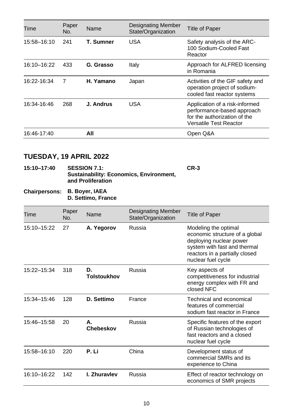| Time        | Paper<br>No. | Name      | <b>Designating Member</b><br>State/Organization | <b>Title of Paper</b>                                                                                                  |
|-------------|--------------|-----------|-------------------------------------------------|------------------------------------------------------------------------------------------------------------------------|
| 15:58-16:10 | 241          | T. Sumner | USA                                             | Safety analysis of the ARC-<br>100 Sodium-Cooled Fast<br>Reactor                                                       |
| 16:10-16:22 | 433          | G. Grasso | Italy                                           | Approach for ALFRED licensing<br>in Romania                                                                            |
| 16:22-16:34 | 7            | H. Yamano | Japan                                           | Activities of the GIF safety and<br>operation project of sodium-<br>cooled fast reactor systems                        |
| 16:34-16:46 | 268          | J. Andrus | USA                                             | Application of a risk-informed<br>performance-based approach<br>for the authorization of the<br>Versatile Test Reactor |
| 16:46-17:40 |              | All       |                                                 | Open Q&A                                                                                                               |

| <b>SESSION 7.1:</b>                            | $CR-3$ |
|------------------------------------------------|--------|
| <b>Sustainability: Economics, Environment,</b> |        |
| and Proliferation                              |        |
|                                                |        |

#### **Chairpersons: B. Boyer, IAEA D. Settimo, France**

| Time        | Paper<br>No. | Name                   | <b>Designating Member</b><br>State/Organization | Title of Paper                                                                                                                                                            |  |
|-------------|--------------|------------------------|-------------------------------------------------|---------------------------------------------------------------------------------------------------------------------------------------------------------------------------|--|
| 15:10-15:22 | 27           | A. Yegorov             | Russia                                          | Modeling the optimal<br>economic structure of a global<br>deploying nuclear power<br>system with fast and thermal<br>reactors in a partially closed<br>nuclear fuel cycle |  |
| 15:22-15:34 | 318          | D.<br>Tolstoukhov      | Russia                                          | Key aspects of<br>competitiveness for industrial<br>energy complex with FR and<br>closed NFC                                                                              |  |
| 15:34-15:46 | 128          | D. Settimo             | France                                          | Technical and economical<br>features of commercial<br>sodium fast reactor in France                                                                                       |  |
| 15:46-15:58 | 20           | А.<br><b>Chebeskov</b> | Russia                                          | Specific features of the export<br>of Russian technologies of<br>fast reactors and a closed<br>nuclear fuel cycle                                                         |  |
| 15:58-16:10 | 220          | P. Li                  | China                                           | Development status of<br>commercial SMRs and its<br>experience to China                                                                                                   |  |
| 16:10-16:22 | 142          | I. Zhuravlev           | Russia                                          | Effect of reactor technology on<br>economics of SMR projects                                                                                                              |  |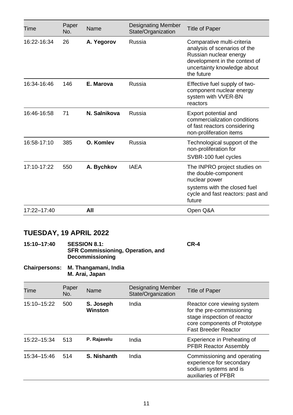| Time        | Paper<br>No. | Name         | <b>Designating Member</b><br>State/Organization | <b>Title of Paper</b>                                                                                                                                              |
|-------------|--------------|--------------|-------------------------------------------------|--------------------------------------------------------------------------------------------------------------------------------------------------------------------|
| 16:22-16:34 | 26           | A. Yegorov   | Russia                                          | Comparative multi-criteria<br>analysis of scenarios of the<br>Russian nuclear energy<br>development in the context of<br>uncertainty knowledge about<br>the future |
| 16:34-16:46 | 146          | E. Marova    | Russia                                          | Effective fuel supply of two-<br>component nuclear energy<br>system with VVER-BN<br>reactors                                                                       |
| 16:46-16:58 | 71           | N. Salnikova | Russia                                          | Export potential and<br>commercialization conditions<br>of fast reactors considering<br>non-proliferation items                                                    |
| 16:58-17:10 | 385          | O. Komlev    | Russia                                          | Technological support of the<br>non-proliferation for<br>SVBR-100 fuel cycles                                                                                      |
| 17:10-17:22 | 550          | A. Bychkov   | <b>IAEA</b>                                     | The INPRO project studies on<br>the double-component<br>nuclear power<br>systems with the closed fuel<br>cycle and fast reactors: past and<br>future               |
| 17:22-17:40 |              | All          |                                                 | Open Q&A                                                                                                                                                           |

| 15:10-17:40 | <b>SESSION 8.1:</b>               | CR-4 |
|-------------|-----------------------------------|------|
|             | SFR Commissioning, Operation, and |      |
|             | <b>Decommissioning</b>            |      |

#### **Chairpersons: M. Thangamani, India M. Arai, Japan**

| Time        | Paper<br>No. | Name                 | <b>Designating Member</b><br>State/Organization | Title of Paper                                                                                                                                         |
|-------------|--------------|----------------------|-------------------------------------------------|--------------------------------------------------------------------------------------------------------------------------------------------------------|
| 15:10-15:22 | 500          | S. Joseph<br>Winston | India                                           | Reactor core viewing system<br>for the pre-commissioning<br>stage inspection of reactor<br>core components of Prototype<br><b>Fast Breeder Reactor</b> |
| 15:22-15:34 | 513          | P. Rajavelu          | India                                           | Experience in Preheating of<br><b>PFBR Reactor Assembly</b>                                                                                            |
| 15:34-15:46 | 514          | S. Nishanth          | India                                           | Commissioning and operating<br>experience for secondary<br>sodium systems and is<br>auxiliaries of PFBR                                                |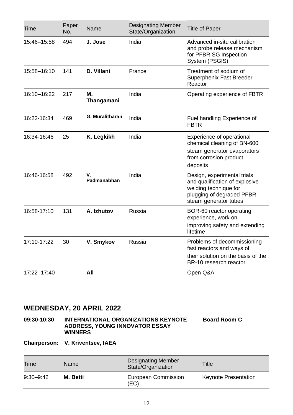| Time        | Paper<br>No. | Name              | <b>Designating Member</b><br>State/Organization | <b>Title of Paper</b>                                                                                                                        |
|-------------|--------------|-------------------|-------------------------------------------------|----------------------------------------------------------------------------------------------------------------------------------------------|
| 15:46-15:58 | 494          | J. Jose           | India                                           | Advanced in-situ calibration<br>and probe release mechanism<br>for PFBR SG Inspection<br>System (PSGIS)                                      |
| 15:58-16:10 | 141          | D. Villani        | France                                          | Treatment of sodium of<br>Superphenix Fast Breeder<br>Reactor                                                                                |
| 16:10-16:22 | 217          | М.<br>Thangamani  | India                                           | Operating experience of FBTR                                                                                                                 |
| 16:22-16:34 | 469          | G. Muralitharan   | India                                           | Fuel handling Experience of<br><b>FBTR</b>                                                                                                   |
| 16:34-16:46 | 25           | K. Legkikh        | India                                           | Experience of operational<br>chemical cleaning of BN-600<br>steam generator evaporators<br>from corrosion product<br>deposits                |
| 16:46-16:58 | 492          | v.<br>Padmanabhan | India                                           | Design, experimental trials<br>and qualification of explosive<br>welding technique for<br>plugging of degraded PFBR<br>steam generator tubes |
| 16:58-17:10 | 131          | A. Izhutov        | Russia                                          | BOR-60 reactor operating<br>experience, work on<br>improving safety and extending<br>lifetime                                                |
| 17:10-17:22 | 30           | V. Smykov         | Russia                                          | Problems of decommissioning<br>fast reactors and ways of<br>their solution on the basis of the<br>BR-10 research reactor                     |
| 17:22-17:40 |              | All               |                                                 | Open Q&A                                                                                                                                     |

**09:30-10:30 INTERNATIONAL ORGANIZATIONS KEYNOTE ADDRESS, YOUNG INNOVATOR ESSAY WINNERS**

**Board Room C**

**Chairperson: V. Kriventsev, IAEA**

| Time          | Name     | Designating Member<br>State/Organization | Title                       |
|---------------|----------|------------------------------------------|-----------------------------|
| $9:30 - 9:42$ | M. Betti | European Commission<br>(EC)              | <b>Keynote Presentation</b> |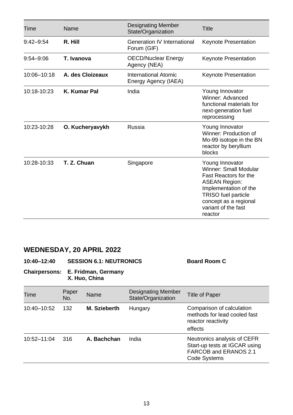| Time          | Name                | Designating Member<br>State/Organization     | Title                                                                                                                                                                                                       |
|---------------|---------------------|----------------------------------------------|-------------------------------------------------------------------------------------------------------------------------------------------------------------------------------------------------------------|
| $9:42 - 9:54$ | R. Hill             | Generation IV International<br>Forum (GIF)   | Keynote Presentation                                                                                                                                                                                        |
| $9:54 - 9:06$ | T. Ivanova          | OECD/Nuclear Energy<br>Agency (NEA)          | Keynote Presentation                                                                                                                                                                                        |
| 10:06-10:18   | A. des Cloizeaux    | International Atomic<br>Energy Agency (IAEA) | <b>Keynote Presentation</b>                                                                                                                                                                                 |
| $10:18-10:23$ | <b>K. Kumar Pal</b> | India                                        | Young Innovator<br>Winner: Advanced<br>functional materials for<br>next-generation fuel<br>reprocessing                                                                                                     |
| 10:23-10:28   | O. Kucheryavykh     | Russia                                       | Young Innovator<br>Winner: Production of<br>Mo-99 isotope in the BN<br>reactor by beryllium<br>blocks                                                                                                       |
| 10:28-10:33   | T. Z. Chuan         | Singapore                                    | Young Innovator<br>Winner: Small Modular<br>Fast Reactors for the<br><b>ASEAN Region:</b><br>Implementation of the<br><b>TRISO</b> fuel particle<br>concept as a regional<br>variant of the fast<br>reactor |

| <b>SESSION 6.1: NEUTRONICS</b><br>10:40-12:40 | <b>Board Room C</b> |
|-----------------------------------------------|---------------------|
|-----------------------------------------------|---------------------|

**Chairpersons: E. Fridman, Germany X. Huo, China**

Time Paper Name Designating Member Designating Member Title of Paper<br>State/Organization 10:40–10:52 132 **M. Szieberth** Hungary Comparison of calculation methods for lead cooled fast reactor reactivity effects 10:52–11:04 316 **A. Bachchan** India Neutronics analysis of CEFR Start-up tests at IGCAR using FARCOB and ERANOS 2.1 Code Systems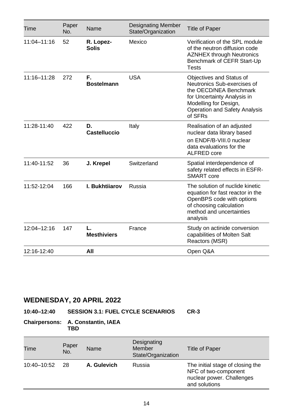| Time            | Paper<br>No. | Name                      | <b>Designating Member</b><br>State/Organization | <b>Title of Paper</b>                                                                                                                                                                 |
|-----------------|--------------|---------------------------|-------------------------------------------------|---------------------------------------------------------------------------------------------------------------------------------------------------------------------------------------|
| 11:04-11:16     | 52           | R. Lopez-<br><b>Solis</b> | Mexico                                          | Verification of the SPL module<br>of the neutron diffusion code<br><b>AZNHEX through Neutronics</b><br>Benchmark of CEFR Start-Up<br><b>Tests</b>                                     |
| $11:16 - 11:28$ | 272          | F.<br><b>Bostelmann</b>   | <b>USA</b>                                      | Objectives and Status of<br>Neutronics Sub-exercises of<br>the OECD/NEA Benchmark<br>for Uncertainty Analysis in<br>Modelling for Design,<br>Operation and Safety Analysis<br>of SFRs |
| 11:28-11:40     | 422          | D.<br>Castelluccio        | Italy                                           | Realisation of an adjusted<br>nuclear data library based<br>on ENDF/B-VIII.0 nuclear<br>data evaluations for the<br>ALFRED core                                                       |
| 11:40-11:52     | 36           | J. Krepel                 | Switzerland                                     | Spatial interdependence of<br>safety related effects in ESFR-<br>SMART core                                                                                                           |
| 11:52-12:04     | 166          | I. Bukhtijarov            | Russia                                          | The solution of nuclide kinetic<br>equation for fast reactor in the<br>OpenBPS code with options<br>of choosing calculation<br>method and uncertainties<br>analysis                   |
| 12:04-12:16     | 147          | L.<br><b>Mesthiviers</b>  | France                                          | Study on actinide conversion<br>capabilities of Molten Salt<br>Reactors (MSR)                                                                                                         |
| 12:16-12:40     |              | All                       |                                                 | Open Q&A                                                                                                                                                                              |

### **10:40–12:40 SESSION 3.1: FUEL CYCLE SCENARIOS CR-3**

#### **Chairpersons: A. Constantin, IAEA TBD**

| Time        | Paper<br>No. | Name        | Designating<br>Member<br>State/Organization | Title of Paper                                                                                         |
|-------------|--------------|-------------|---------------------------------------------|--------------------------------------------------------------------------------------------------------|
| 10:40-10:52 | -28          | A. Gulevich | Russia                                      | The initial stage of closing the<br>NFC of two-component<br>nuclear power. Challenges<br>and solutions |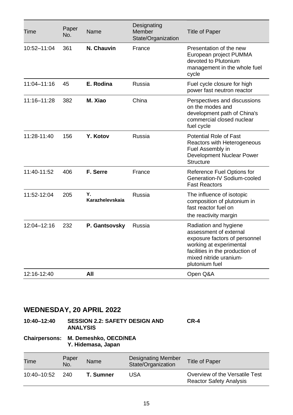| Time        | Paper<br>No. | Name                  | Designating<br>Member<br>State/Organization | <b>Title of Paper</b>                                                                                                                                                                      |
|-------------|--------------|-----------------------|---------------------------------------------|--------------------------------------------------------------------------------------------------------------------------------------------------------------------------------------------|
| 10:52-11:04 | 361          | N. Chauvin            | France                                      | Presentation of the new<br>European project PUMMA<br>devoted to Plutonium<br>management in the whole fuel<br>cycle                                                                         |
| 11:04-11:16 | 45           | E. Rodina             | Russia                                      | Fuel cycle closure for high<br>power fast neutron reactor                                                                                                                                  |
| 11:16-11:28 | 382          | M. Xiao               | China                                       | Perspectives and discussions<br>on the modes and<br>development path of China's<br>commercial closed nuclear<br>fuel cycle                                                                 |
| 11:28-11:40 | 156          | Y. Kotov              | Russia                                      | Potential Role of Fast<br>Reactors with Heterogeneous<br>Fuel Assembly in<br>Development Nuclear Power<br>Structure                                                                        |
| 11:40-11:52 | 406          | F. Serre              | France                                      | Reference Fuel Options for<br>Generation-IV Sodium-cooled<br><b>Fast Reactors</b>                                                                                                          |
| 11:52-12:04 | 205          | Υ.<br>Karazhelevskaia | Russia                                      | The influence of isotopic<br>composition of plutonium in<br>fast reactor fuel on<br>the reactivity margin                                                                                  |
| 12:04-12:16 | 232          | P. Gantsovsky         | Russia                                      | Radiation and hygiene<br>assessment of external<br>exposure factors of personnel<br>working at experimental<br>facilities in the production of<br>mixed nitride uranium-<br>plutonium fuel |
| 12:16-12:40 |              | All                   |                                             | Open Q&A                                                                                                                                                                                   |

| 10:40-12:40 | <b>SESSION 2.2: SAFETY DESIGN AND</b> | CR-4 |
|-------------|---------------------------------------|------|
|             | <b>ANALYSIS</b>                       |      |

#### **Chairpersons: M. Demeshko, OECD/NEA Y. Hidemasa, Japan**

| Time        | Paper<br>No. | Name      | <b>Designating Member</b><br>State/Organization | <b>Title of Paper</b>                                            |
|-------------|--------------|-----------|-------------------------------------------------|------------------------------------------------------------------|
| 10:40–10:52 | -240         | T. Sumner | USA                                             | Overview of the Versatile Test<br><b>Reactor Safety Analysis</b> |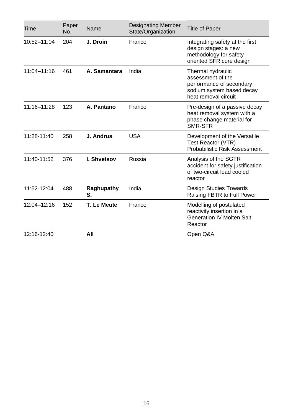| Time            | Paper<br>No. | Name             | <b>Designating Member</b><br>State/Organization | <b>Title of Paper</b>                                                                                                   |
|-----------------|--------------|------------------|-------------------------------------------------|-------------------------------------------------------------------------------------------------------------------------|
| 10:52-11:04     | 204          | J. Droin         | France                                          | Integrating safety at the first<br>design stages: a new<br>methodology for safety-<br>oriented SFR core design          |
| $11:04 - 11:16$ | 461          | A. Samantara     | India                                           | Thermal hydraulic<br>assessment of the<br>performance of secondary<br>sodium system based decay<br>heat removal circuit |
| 11:16-11:28     | 123          | A. Pantano       | France                                          | Pre-design of a passive decay<br>heat removal system with a<br>phase change material for<br>SMR-SFR                     |
| 11:28-11:40     | 258          | J. Andrus        | <b>USA</b>                                      | Development of the Versatile<br>Test Reactor (VTR)<br>Probabilistic Risk Assessment                                     |
| 11:40-11:52     | 376          | I. Shvetsov      | Russia                                          | Analysis of the SGTR<br>accident for safety justification<br>of two-circuit lead cooled<br>reactor                      |
| 11:52-12:04     | 488          | Raghupathy<br>S. | India                                           | Design Studies Towards<br>Raising FBTR to Full Power                                                                    |
| 12:04-12:16     | 152          | T. Le Meute      | France                                          | Modelling of postulated<br>reactivity insertion in a<br><b>Generation IV Molten Salt</b><br>Reactor                     |
| 12:16-12:40     |              | All              |                                                 | Open Q&A                                                                                                                |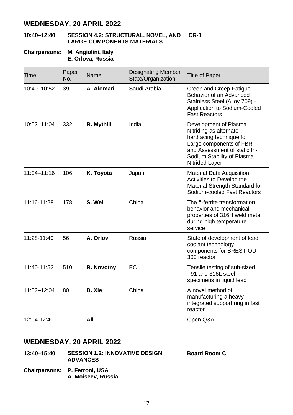#### **10:40–12:40 SESSION 4.2: STRUCTURAL, NOVEL, AND CR-1 LARGE COMPONENTS MATERIALS**

#### **Chairpersons: M. Angiolini, Italy E. Orlova, Russia**

| Time            | Paper<br>No. | Name          | <b>Designating Member</b><br>State/Organization | <b>Title of Paper</b>                                                                                                                                                                  |
|-----------------|--------------|---------------|-------------------------------------------------|----------------------------------------------------------------------------------------------------------------------------------------------------------------------------------------|
| 10:40-10:52     | 39           | A. Alomari    | Saudi Arabia                                    | Creep and Creep-Fatigue<br>Behavior of an Advanced<br>Stainless Steel (Alloy 709) -<br>Application to Sodium-Cooled<br><b>Fast Reactors</b>                                            |
| 10:52-11:04     | 332          | R. Mythili    | India                                           | Development of Plasma<br>Nitriding as alternate<br>hardfacing technique for<br>Large components of FBR<br>and Assessment of static In-<br>Sodium Stability of Plasma<br>Nitrided Layer |
| $11:04 - 11:16$ | 106          | K. Toyota     | Japan                                           | Material Data Acquisition<br>Activities to Develop the<br>Material Strength Standard for<br>Sodium-cooled Fast Reactors                                                                |
| 11:16-11:28     | 178          | S. Wei        | China                                           | The δ-ferrite transformation<br>behavior and mechanical<br>properties of 316H weld metal<br>during high temperature<br>service                                                         |
| 11:28-11:40     | 56           | A. Orlov      | Russia                                          | State of development of lead<br>coolant technology<br>components for BREST-OD-<br>300 reactor                                                                                          |
| 11:40-11:52     | 510          | R. Novotny    | EC                                              | Tensile testing of sub-sized<br>T91 and 316L steel<br>specimens in liquid lead                                                                                                         |
| 11:52-12:04     | 80           | <b>B.</b> Xie | China                                           | A novel method of<br>manufacturing a heavy<br>integrated support ring in fast<br>reactor                                                                                               |
| 12:04-12:40     |              | All           |                                                 | Open Q&A                                                                                                                                                                               |

### **WEDNESDAY, 20 APRIL 2022**

- **13:40–15:40 SESSION 1.2: INNOVATIVE DESIGN ADVANCES Board Room C**
- **Chairpersons: P. Ferroni, USA A. Moiseev, Russia**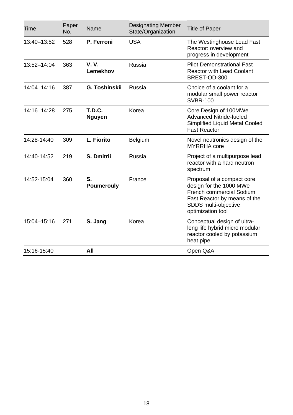| Time        | Paper<br>No. | Name                           | <b>Designating Member</b><br>State/Organization | <b>Title of Paper</b>                                                                                                                                          |
|-------------|--------------|--------------------------------|-------------------------------------------------|----------------------------------------------------------------------------------------------------------------------------------------------------------------|
| 13:40-13:52 | 528          | P. Ferroni                     | <b>USA</b>                                      | The Westinghouse Lead Fast<br>Reactor: overview and<br>progress in development                                                                                 |
| 13:52-14:04 | 363          | <b>V.V.</b><br>Lemekhov        | Russia                                          | <b>Pilot Demonstrational Fast</b><br><b>Reactor with Lead Coolant</b><br>BREST-OD-300                                                                          |
| 14:04-14:16 | 387          | G. Toshinskii                  | Russia                                          | Choice of a coolant for a<br>modular small power reactor<br><b>SVBR-100</b>                                                                                    |
| 14:16-14:28 | 275          | <b>T.D.C.</b><br><b>Nguyen</b> | Korea                                           | Core Design of 100MWe<br>Advanced Nitride-fueled<br>Simplified Liquid Metal Cooled<br><b>Fast Reactor</b>                                                      |
| 14:28-14:40 | 309          | L. Fiorito                     | <b>Belgium</b>                                  | Novel neutronics design of the<br><b>MYRRHA</b> core                                                                                                           |
| 14:40-14:52 | 219          | S. Dmitrii                     | Russia                                          | Project of a multipurpose lead<br>reactor with a hard neutron<br>spectrum                                                                                      |
| 14:52-15:04 | 360          | S.<br>Poumerouly               | France                                          | Proposal of a compact core<br>design for the 1000 MWe<br>French commercial Sodium<br>Fast Reactor by means of the<br>SDDS multi-objective<br>optimization tool |
| 15:04-15:16 | 271          | S. Jang                        | Korea                                           | Conceptual design of ultra-<br>long life hybrid micro modular<br>reactor cooled by potassium<br>heat pipe                                                      |
| 15:16-15:40 |              | All                            |                                                 | Open Q&A                                                                                                                                                       |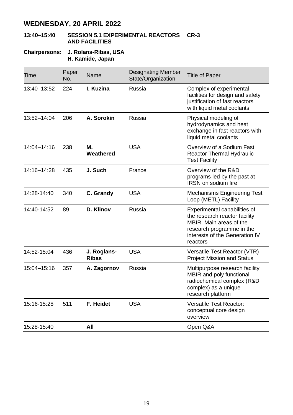#### **13:40–15:40 SESSION 5.1 EXPERIMENTAL REACTORS CR-3 AND FACILITIES**

#### **Chairpersons: J. Rolans-Ribas, USA H. Kamide, Japan**

| Time            | Paper<br>No. | Name                 | <b>Designating Member</b><br>State/Organization | <b>Title of Paper</b>                                                                                                                                               |
|-----------------|--------------|----------------------|-------------------------------------------------|---------------------------------------------------------------------------------------------------------------------------------------------------------------------|
| 13:40-13:52     | 224          | I. Kuzina            | Russia                                          | Complex of experimental<br>facilities for design and safety<br>justification of fast reactors<br>with liquid metal coolants                                         |
| $13:52 - 14:04$ | 206          | A. Sorokin           | Russia                                          | Physical modeling of<br>hydrodynamics and heat<br>exchange in fast reactors with<br>liquid metal coolants                                                           |
| 14:04-14:16     | 238          | М.<br>Weathered      | <b>USA</b>                                      | Overview of a Sodium Fast<br><b>Reactor Thermal Hydraulic</b><br><b>Test Facility</b>                                                                               |
| 14:16-14:28     | 435          | J. Such              | France                                          | Overview of the R&D<br>programs led by the past at<br><b>IRSN</b> on sodium fire                                                                                    |
| 14:28-14:40     | 340          | C. Grandy            | <b>USA</b>                                      | Mechanisms Engineering Test<br>Loop (METL) Facility                                                                                                                 |
| 14:40-14:52     | 89           | D. Klinov            | Russia                                          | Experimental capabilities of<br>the research reactor facility<br>MBIR. Main areas of the<br>research programme in the<br>interests of the Generation IV<br>reactors |
| 14:52-15:04     | 436          | J. Roglans-<br>Ribas | <b>USA</b>                                      | Versatile Test Reactor (VTR)<br><b>Project Mission and Status</b>                                                                                                   |
| 15:04-15:16     | 357          | A. Zagornov          | Russia                                          | Multipurpose research facility<br>MBIR and poly functional<br>radiochemical complex (R&D<br>complex) as a unique<br>research platform                               |
| 15:16-15:28     | 511          | F. Heidet            | <b>USA</b>                                      | Versatile Test Reactor:<br>conceptual core design<br>overview                                                                                                       |
| 15:28-15:40     |              | All                  |                                                 | Open Q&A                                                                                                                                                            |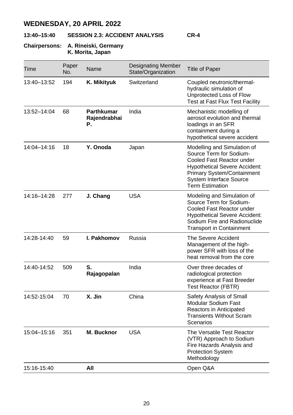### **13:40–15:40 SESSION 2.3: ACCIDENT ANALYSIS CR-4**

#### **Chairpersons: A. Rineiski, Germany K. Morita, Japan**

| Time        | Paper<br>No. | Name                                    | <b>Designating Member</b><br>State/Organization | Title of Paper                                                                                                                                                                                                        |
|-------------|--------------|-----------------------------------------|-------------------------------------------------|-----------------------------------------------------------------------------------------------------------------------------------------------------------------------------------------------------------------------|
| 13:40-13:52 | 194          | K. Mikityuk                             | Switzerland                                     | Coupled neutronic/thermal-<br>hydraulic simulation of<br>Unprotected Loss of Flow<br>Test at Fast Flux Test Facility                                                                                                  |
| 13:52-14:04 | 68           | <b>Parthkumar</b><br>Rajendrabhai<br>Р. | India                                           | Mechanistic modelling of<br>aerosol evolution and thermal<br>loadings in an SFR<br>containment during a<br>hypothetical severe accident                                                                               |
| 14:04-14:16 | 18           | Y. Onoda                                | Japan                                           | Modelling and Simulation of<br>Source Term for Sodium-<br>Cooled Fast Reactor under<br><b>Hypothetical Severe Accident:</b><br>Primary System/Containment<br><b>System Interface Source</b><br><b>Term Estimation</b> |
| 14:16-14:28 | 277          | J. Chang                                | <b>USA</b>                                      | Modeling and Simulation of<br>Source Term for Sodium-<br>Cooled Fast Reactor under<br><b>Hypothetical Severe Accident:</b><br>Sodium Fire and Radionuclide<br><b>Transport in Containment</b>                         |
| 14:28-14:40 | 59           | I. Pakhomov                             | Russia                                          | The Severe Accident<br>Management of the high-<br>power SFR with loss of the<br>heat removal from the core                                                                                                            |
| 14:40-14:52 | 509          | S.<br>Rajagopalan                       | India                                           | Over three decades of<br>radiological protection<br>experience at Fast Breeder<br>Test Reactor (FBTR)                                                                                                                 |
| 14:52-15:04 | 70           | X. Jin                                  | China                                           | Safety Analysis of Small<br>Modular Sodium Fast<br>Reactors in Anticipated<br><b>Transients Without Scram</b><br>Scenarios                                                                                            |
| 15:04-15:16 | 351          | M. Bucknor                              | <b>USA</b>                                      | The Versatile Test Reactor<br>(VTR) Approach to Sodium<br>Fire Hazards Analysis and<br><b>Protection System</b><br>Methodology                                                                                        |
| 15:16-15:40 |              | All                                     |                                                 | Open Q&A                                                                                                                                                                                                              |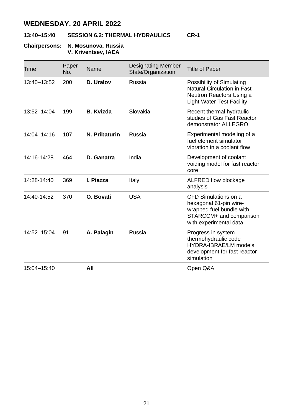### **13:40–15:40 SESSION 6.2: THERMAL HYDRAULICS CR-1**

#### **Chairpersons: N. Mosunova, Russia V. Kriventsev, IAEA**

| Time            | Paper<br>No. | Name             | <b>Designating Member</b><br>State/Organization | Title of Paper                                                                                                                  |
|-----------------|--------------|------------------|-------------------------------------------------|---------------------------------------------------------------------------------------------------------------------------------|
| 13:40-13:52     | 200          | D. Uralov        | Russia                                          | Possibility of Simulating<br>Natural Circulation in Fast<br>Neutron Reactors Using a<br><b>Light Water Test Facility</b>        |
| $13:52 - 14:04$ | 199          | <b>B.</b> Kvizda | Slovakia                                        | Recent thermal hydraulic<br>studies of Gas Fast Reactor<br>demonstrator ALLEGRO                                                 |
| 14:04-14:16     | 107          | N. Pribaturin    | Russia                                          | Experimental modeling of a<br>fuel element simulator<br>vibration in a coolant flow                                             |
| 14:16-14:28     | 464          | D. Ganatra       | India                                           | Development of coolant<br>voiding model for fast reactor<br>core                                                                |
| 14:28-14:40     | 369          | I. Piazza        | Italy                                           | ALFRED flow blockage<br>analysis                                                                                                |
| 14:40-14:52     | 370          | O. Bovati        | <b>USA</b>                                      | CFD Simulations on a<br>hexagonal 61-pin wire-<br>wrapped fuel bundle with<br>STARCCM+ and comparison<br>with experimental data |
| 14:52-15:04     | 91           | A. Palagin       | Russia                                          | Progress in system<br>thermohydraulic code<br>HYDRA-IBRAE/LM models<br>development for fast reactor<br>simulation               |
| 15:04-15:40     |              | All              |                                                 | Open Q&A                                                                                                                        |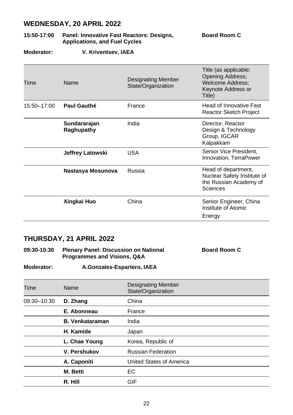| 15:50-17:00       | Panel: Innovative Fast Reactors: Designs,<br><b>Applications, and Fuel Cycles</b> | <b>Board Room C</b> |
|-------------------|-----------------------------------------------------------------------------------|---------------------|
| <b>Moderator:</b> | V. Kriventsev, IAEA                                                               |                     |

| Time        | Name                       | <b>Designating Member</b><br>State/Organization | Title (as applicable:<br><b>Opening Address:</b><br><b>Welcome Address;</b><br>Keynote Address or |
|-------------|----------------------------|-------------------------------------------------|---------------------------------------------------------------------------------------------------|
|             |                            |                                                 | Title)                                                                                            |
| 15:50-17:00 | Paul Gauthé                | France                                          | Head of Innovative Fast<br>Reactor Sketch Project                                                 |
|             | Sundararajan<br>Raghupathy | India                                           | Director, Reactor<br>Design & Technology<br>Group, IGCAR<br>Kalpakkam                             |
|             | <b>Jeffrey Latowski</b>    | USA                                             | Senior Vice President.<br>Innovation, TerraPower                                                  |
|             | Nastasya Mosunova          | Russia                                          | Head of department,<br>Nuclear Safety Institute of<br>the Russian Academy of<br>Sciences          |
|             | Xingkai Huo                | China                                           | Senior Engineer, China<br>Institute of Atomic<br>Energy                                           |

### **THURSDAY, 21 APRIL 2022**

| 09:30-10:30 | <b>Plenary Panel: Discussion on National</b> | <b>Board Room C</b> |
|-------------|----------------------------------------------|---------------------|
|             | <b>Programmes and Visions, Q&amp;A</b>       |                     |

**Moderator: A.Gonzales-Espartero, IAEA**

| Time        | Name                   | <b>Designating Member</b><br>State/Organization |
|-------------|------------------------|-------------------------------------------------|
| 09:30-10:30 | D. Zhang               | China                                           |
|             | E. Abonneau            | France                                          |
|             | <b>B. Venkataraman</b> | India                                           |
|             | H. Kamide              | Japan                                           |
|             | L. Chae Young          | Korea, Republic of                              |
|             | V. Pershukov           | <b>Russian Federation</b>                       |
|             | A. Caponiti            | United States of America                        |
|             | M. Betti               | EC                                              |
|             | R. Hill                | GIF                                             |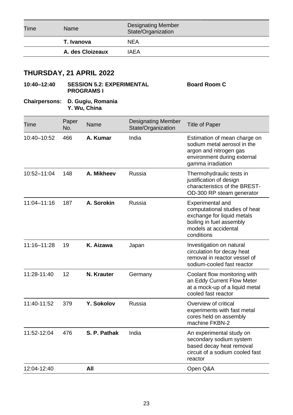| Time | Name             | <b>Designating Member</b><br>State/Organization |  |
|------|------------------|-------------------------------------------------|--|
|      | T. Ivanova       | <b>NEA</b>                                      |  |
|      | A. des Cloizeaux | IAFA                                            |  |
|      |                  |                                                 |  |

**Board Room C**

### **THURSDAY, 21 APRIL 2022**

### **10:40–12:40 SESSION 5.2: EXPERIMENTAL PROGRAMS I**

#### **Chairpersons: D. Gugiu, Romania Y. Wu, China**

| Time            | Paper<br>No. | <b>Name</b>  | <b>Designating Member</b><br>State/Organization | <b>Title of Paper</b>                                                                                                                             |
|-----------------|--------------|--------------|-------------------------------------------------|---------------------------------------------------------------------------------------------------------------------------------------------------|
| 10:40-10:52     | 466          | A. Kumar     | India                                           | Estimation of mean charge on<br>sodium metal aerosol in the<br>argon and nitrogen gas<br>environment during external<br>gamma irradiation         |
| 10:52-11:04     | 148          | A. Mikheev   | Russia                                          | Thermohydraulic tests in<br>justification of design<br>characteristics of the BREST-<br>OD-300 RP steam generator                                 |
| 11:04-11:16     | 187          | A. Sorokin   | Russia                                          | Experimental and<br>computational studies of heat<br>exchange for liquid metals<br>boiling in fuel assembly<br>models at accidental<br>conditions |
| $11:16 - 11:28$ | 19           | K. Aizawa    | Japan                                           | Investigation on natural<br>circulation for decay heat<br>removal in reactor vessel of<br>sodium-cooled fast reactor                              |
| 11:28-11:40     | 12           | N. Krauter   | Germany                                         | Coolant flow monitoring with<br>an Eddy Current Flow Meter<br>at a mock-up of a liquid metal<br>cooled fast reactor                               |
| 11:40-11:52     | 379          | Y. Sokolov   | Russia                                          | Overview of critical<br>experiments with fast metal<br>cores held on assembly<br>machine FKBN-2                                                   |
| 11:52-12:04     | 476          | S. P. Pathak | India                                           | An experimental study on<br>secondary sodium system<br>based decay heat removal<br>circuit of a sodium cooled fast<br>reactor                     |
| 12:04-12:40     |              | All          |                                                 | Open Q&A                                                                                                                                          |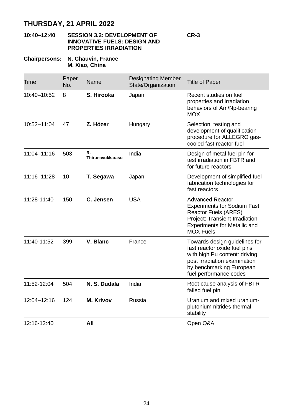#### **10:40–12:40 SESSION 3.2: DEVELOPMENT OF INNOVATIVE FUELS: DESIGN AND PROPERTIES IRRADIATION**

#### **Chairpersons: N. Chauvin, France M. Xiao, China**

| Time            | Paper<br>No. | Name                   | <b>Designating Member</b><br>State/Organization | <b>Title of Paper</b>                                                                                                                                                                |
|-----------------|--------------|------------------------|-------------------------------------------------|--------------------------------------------------------------------------------------------------------------------------------------------------------------------------------------|
| 10:40-10:52     | 8            | S. Hirooka             | Japan                                           | Recent studies on fuel<br>properties and irradiation<br>behaviors of Am/Np-bearing<br><b>MOX</b>                                                                                     |
| 10:52-11:04     | 47           | Z. Hózer               | Hungary                                         | Selection, testing and<br>development of qualification<br>procedure for ALLEGRO gas-<br>cooled fast reactor fuel                                                                     |
| $11:04 - 11:16$ | 503          | R.<br>Thirunavukkarasu | India                                           | Design of metal fuel pin for<br>test irradiation in FBTR and<br>for future reactors                                                                                                  |
| 11:16-11:28     | 10           | T. Segawa              | Japan                                           | Development of simplified fuel<br>fabrication technologies for<br>fast reactors                                                                                                      |
| 11:28-11:40     | 150          | C. Jensen              | <b>USA</b>                                      | <b>Advanced Reactor</b><br><b>Experiments for Sodium Fast</b><br>Reactor Fuels (ARES)<br>Project: Transient Irradiation<br><b>Experiments for Metallic and</b><br><b>MOX Fuels</b>   |
| 11:40-11:52     | 399          | V. Blanc               | France                                          | Towards design guidelines for<br>fast reactor oxide fuel pins<br>with high Pu content: driving<br>post irradiation examination<br>by benchmarking European<br>fuel performance codes |
| 11:52-12:04     | 504          | N. S. Dudala           | India                                           | Root cause analysis of FBTR<br>failed fuel pin                                                                                                                                       |
| 12:04-12:16     | 124          | <b>M. Krivov</b>       | Russia                                          | Uranium and mixed uranium-<br>plutonium nitrides thermal<br>stability                                                                                                                |
| 12:16-12:40     |              | All                    |                                                 | Open Q&A                                                                                                                                                                             |

**CR-3**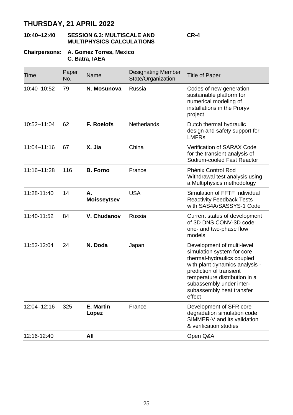#### **10:40–12:40 SESSION 6.3: MULTISCALE AND MULTIPHYSICS CALCULATIONS CR-4**

#### **Chairpersons: A. Gomez Torres, Mexico C. Batra, IAEA**

| Time        | Paper<br>No. | Name               | <b>Designating Member</b><br>State/Organization | <b>Title of Paper</b>                                                                                                                                                                                                                                   |
|-------------|--------------|--------------------|-------------------------------------------------|---------------------------------------------------------------------------------------------------------------------------------------------------------------------------------------------------------------------------------------------------------|
| 10:40-10:52 | 79           | N. Mosunova        | Russia                                          | Codes of new generation -<br>sustainable platform for<br>numerical modeling of<br>installations in the Proryv<br>project                                                                                                                                |
| 10:52-11:04 | 62           | F. Roelofs         | <b>Netherlands</b>                              | Dutch thermal hydraulic<br>design and safety support for<br><b>IMFRs</b>                                                                                                                                                                                |
| 11:04-11:16 | 67           | X. Jia             | China                                           | Verification of SARAX Code<br>for the transient analysis of<br>Sodium-cooled Fast Reactor                                                                                                                                                               |
| 11:16-11:28 | 116          | <b>B.</b> Forno    | France                                          | Phénix Control Rod<br>Withdrawal test analysis using<br>a Multiphysics methodology                                                                                                                                                                      |
| 11:28-11:40 | 14           | А.<br>Moisseytsev  | <b>USA</b>                                      | Simulation of FFTF Individual<br><b>Reactivity Feedback Tests</b><br>with SAS4A/SASSYS-1 Code                                                                                                                                                           |
| 11:40-11:52 | 84           | V. Chudanov        | Russia                                          | Current status of development<br>of 3D DNS CONV-3D code:<br>one- and two-phase flow<br>models                                                                                                                                                           |
| 11:52-12:04 | 24           | N. Doda            | Japan                                           | Development of multi-level<br>simulation system for core<br>thermal-hydraulics coupled<br>with plant dynamics analysis -<br>prediction of transient<br>temperature distribution in a<br>subassembly under inter-<br>subassembly heat transfer<br>effect |
| 12:04-12:16 | 325          | E. Martin<br>Lopez | France                                          | Development of SFR core<br>degradation simulation code<br>SIMMER-V and its validation<br>& verification studies                                                                                                                                         |
| 12:16-12:40 |              | All                |                                                 | Open Q&A                                                                                                                                                                                                                                                |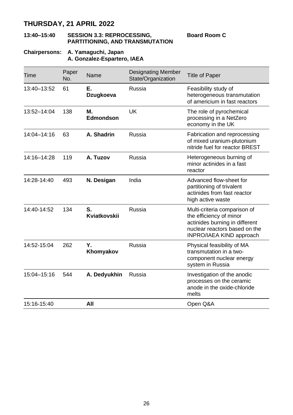#### **13:40–15:40 SESSION 3.3: REPROCESSING, PARTITIONING, AND TRANSMUTATION**

**Board Room C**

#### **Chairpersons: A. Yamaguchi, Japan A. Gonzalez-Espartero, IAEA**

| Time        | Paper<br>No. | Name               | <b>Designating Member</b><br>State/Organization | <b>Title of Paper</b>                                                                                                                                  |
|-------------|--------------|--------------------|-------------------------------------------------|--------------------------------------------------------------------------------------------------------------------------------------------------------|
| 13:40-13:52 | 61           | Е.<br>Dzugkoeva    | Russia                                          | Feasibility study of<br>heterogeneous transmutation<br>of americium in fast reactors                                                                   |
| 13:52-14:04 | 138          | М.<br>Edmondson    | UK                                              | The role of pyrochemical<br>processing in a NetZero<br>economy in the UK                                                                               |
| 14:04-14:16 | 63           | A. Shadrin         | Russia                                          | Fabrication and reprocessing<br>of mixed uranium-plutonium<br>nitride fuel for reactor BREST                                                           |
| 14:16-14:28 | 119          | A. Tuzov           | Russia                                          | Heterogeneous burning of<br>minor actinides in a fast<br>reactor                                                                                       |
| 14:28-14:40 | 493          | N. Desigan         | India                                           | Advanced flow-sheet for<br>partitioning of trivalent<br>actinides from fast reactor<br>high active waste                                               |
| 14:40-14:52 | 134          | S.<br>Kviatkovskii | Russia                                          | Multi-criteria comparison of<br>the efficiency of minor<br>actinides burning in different<br>nuclear reactors based on the<br>INPRO/IAEA KIND approach |
| 14:52-15:04 | 262          | Υ.<br>Khomyakov    | Russia                                          | Physical feasibility of MA<br>transmutation in a two-<br>component nuclear energy<br>system in Russia                                                  |
| 15:04-15:16 | 544          | A. Dedyukhin       | Russia                                          | Investigation of the anodic<br>processes on the ceramic<br>anode in the oxide-chloride<br>melts                                                        |
| 15:16-15:40 |              | All                |                                                 | Open Q&A                                                                                                                                               |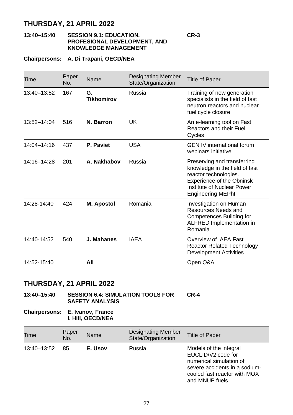#### **13:40–15:40 SESSION 9.1: EDUCATION, PROFESIONAL DEVELOPMENT, AND KNOWLEDGE MANAGEMENT**

**CR-3**

#### **Chairpersons: A. Di Trapani, OECD/NEA**

| Time            | Paper<br>No. | Name                    | Designating Member<br>State/Organization | <b>Title of Paper</b>                                                                                                                                                         |
|-----------------|--------------|-------------------------|------------------------------------------|-------------------------------------------------------------------------------------------------------------------------------------------------------------------------------|
| 13:40-13:52     | 167          | G.<br><b>Tikhomirov</b> | Russia                                   | Training of new generation<br>specialists in the field of fast<br>neutron reactors and nuclear<br>fuel cycle closure                                                          |
| 13:52-14:04     | 516          | N. Barron               | UK                                       | An e-learning tool on Fast<br>Reactors and their Fuel<br>Cycles                                                                                                               |
| $14:04 - 14:16$ | 437          | P. Paviet               | <b>USA</b>                               | <b>GEN IV international forum</b><br>webinars initiative                                                                                                                      |
| $14:16 - 14:28$ | 201          | A. Nakhabov             | Russia                                   | Preserving and transferring<br>knowledge in the field of fast<br>reactor technologies.<br>Experience of the Obninsk<br>Institute of Nuclear Power<br><b>Engineering MEPhl</b> |
| 14:28-14:40     | 424          | M. Apostol              | Romania                                  | Investigation on Human<br>Resources Needs and<br>Competences Building for<br>ALFRED Implementation in<br>Romania                                                              |
| 14:40-14:52     | 540          | J. Mahanes              | <b>IAEA</b>                              | Overview of IAEA Fast<br><b>Reactor Related Technology</b><br>Development Activities                                                                                          |
| 14:52-15:40     |              | All                     |                                          | Open Q&A                                                                                                                                                                      |

### **THURSDAY, 21 APRIL 2022**

**13:40–15:40 SESSION 6.4: SIMULATION TOOLS FOR SAFETY ANALYSIS CR-4**

**Chairpersons: E. Ivanov, France I. Hill, OECD/NEA**

| Time        | Paper<br>No. | Name    | Designating Member<br>State/Organization | <b>Title of Paper</b>                                                                                                                                      |
|-------------|--------------|---------|------------------------------------------|------------------------------------------------------------------------------------------------------------------------------------------------------------|
| 13:40-13:52 | 85           | E. Usov | Russia                                   | Models of the integral<br>EUCLID/V2 code for<br>numerical simulation of<br>severe accidents in a sodium-<br>cooled fast reactor with MOX<br>and MNUP fuels |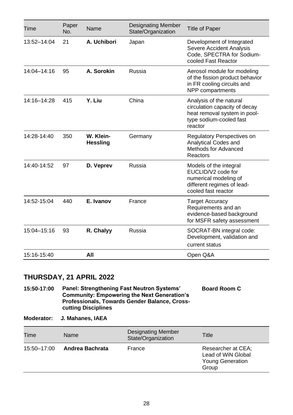| Time            | Paper<br>No. | Name                         | <b>Designating Member</b><br>State/Organization | <b>Title of Paper</b>                                                                                                          |
|-----------------|--------------|------------------------------|-------------------------------------------------|--------------------------------------------------------------------------------------------------------------------------------|
| 13:52-14:04     | 21           | A. Uchibori                  | Japan                                           | Development of Integrated<br>Severe Accident Analysis<br>Code, SPECTRA for Sodium-<br>cooled Fast Reactor                      |
| $14:04 - 14:16$ | 95           | A. Sorokin                   | Russia                                          | Aerosol module for modeling<br>of the fission product behavior<br>in FR cooling circuits and<br>NPP compartments               |
| 14:16-14:28     | 415          | Y. Liu                       | China                                           | Analysis of the natural<br>circulation capacity of decay<br>heat removal system in pool-<br>type sodium-cooled fast<br>reactor |
| 14:28-14:40     | 350          | W. Klein-<br><b>Hessling</b> | Germany                                         | Regulatory Perspectives on<br>Analytical Codes and<br>Methods for Advanced<br>Reactors                                         |
| 14:40-14:52     | 97           | D. Veprev                    | Russia                                          | Models of the integral<br>EUCLID/V2 code for<br>numerical modeling of<br>different regimes of lead-<br>cooled fast reactor     |
| 14:52-15:04     | 440          | E. Ivanov                    | France                                          | <b>Target Accuracy</b><br>Requirements and an<br>evidence-based background<br>for MSFR safety assessment                       |
| 15:04-15:16     | 93           | R. Chalyy                    | Russia                                          | SOCRAT-BN integral code:<br>Development, validation and<br>current status                                                      |
| 15:16-15:40     |              | All                          |                                                 | Open Q&A                                                                                                                       |

**15:50-17:00 Panel: Strengthening Fast Neutron Systems' Community: Empowering the Next Generation's Professionals, Towards Gender Balance, Crosscutting Disciplines Board Room C**

**Moderator: J. Mahanes, IAEA**

| Time        | Name            | <b>Designating Member</b><br>State/Organization | Title                                                                        |
|-------------|-----------------|-------------------------------------------------|------------------------------------------------------------------------------|
| 15:50-17:00 | Andrea Bachrata | France                                          | Researcher at CEA;<br>Lead of WiN Global<br><b>Young Generation</b><br>Group |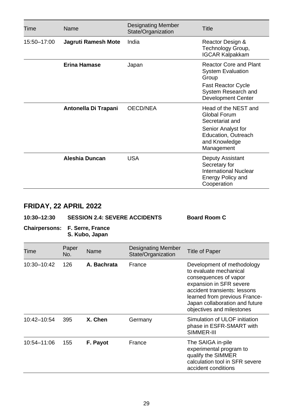| Time        | Name                 | <b>Designating Member</b><br>State/Organization | Title                                                                                                                                 |
|-------------|----------------------|-------------------------------------------------|---------------------------------------------------------------------------------------------------------------------------------------|
| 15:50-17:00 | Jagruti Ramesh Mote  | India                                           | Reactor Design &<br>Technology Group,<br><b>IGCAR Kalpakkam</b>                                                                       |
|             | Erina Hamase         | Japan                                           | Reactor Core and Plant<br><b>System Evaluation</b><br>Group<br><b>Fast Reactor Cycle</b><br>System Research and<br>Development Center |
|             | Antonella Di Trapani | OECD/NEA                                        | Head of the NEST and<br>Global Forum<br>Secretariat and<br>Senior Analyst for<br>Education, Outreach<br>and Knowledge<br>Management   |
|             | Aleshia Duncan       | USA                                             | Deputy Assistant<br>Secretary for<br><b>International Nuclear</b><br>Energy Policy and<br>Cooperation                                 |

### **10:30–12:30 SESSION 2.4: SEVERE ACCIDENTS Board Room C**

#### **Chairpersons: F. Serre, France S. Kubo, Japan**

| Time        | Paper<br>No. | Name        | Designating Member<br>State/Organization | Title of Paper                                                                                                                                                                                                                           |
|-------------|--------------|-------------|------------------------------------------|------------------------------------------------------------------------------------------------------------------------------------------------------------------------------------------------------------------------------------------|
| 10:30-10:42 | 126          | A. Bachrata | France                                   | Development of methodology<br>to evaluate mechanical<br>consequences of vapor<br>expansion in SFR severe<br>accident transients: lessons<br>learned from previous France-<br>Japan collaboration and future<br>objectives and milestones |
| 10:42-10:54 | 395          | X. Chen     | Germany                                  | Simulation of ULOF initiation<br>phase in ESFR-SMART with<br>SIMMER-III                                                                                                                                                                  |
| 10:54-11:06 | 155          | F. Payot    | France                                   | The SAIGA in-pile<br>experimental program to<br>qualify the SIMMER<br>calculation tool in SFR severe<br>accident conditions                                                                                                              |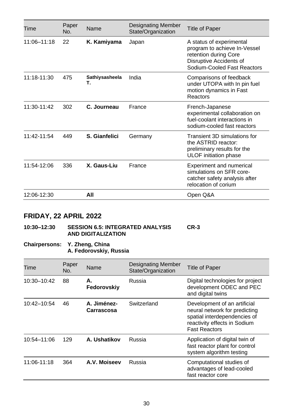| Time        | Paper<br>No. | Name                 | <b>Designating Member</b><br>State/Organization | Title of Paper                                                                                                                              |
|-------------|--------------|----------------------|-------------------------------------------------|---------------------------------------------------------------------------------------------------------------------------------------------|
| 11:06-11:18 | 22           | K. Kamiyama          | Japan                                           | A status of experimental<br>program to achieve In-Vessel<br>retention during Core<br>Disruptive Accidents of<br>Sodium-Cooled Fast Reactors |
| 11:18-11:30 | 475          | Sathiysasheela<br>т. | India                                           | Comparisons of feedback<br>under UTOPA with In pin fuel<br>motion dynamics in Fast<br>Reactors                                              |
| 11:30-11:42 | 302          | C. Journeau          | France                                          | French-Japanese<br>experimental collaboration on<br>fuel-coolant interactions in<br>sodium-cooled fast reactors                             |
| 11:42-11:54 | 449          | S. Gianfelici        | Germany                                         | Transient 3D simulations for<br>the ASTRID reactor:<br>preliminary results for the<br><b>ULOF</b> initiation phase                          |
| 11:54-12:06 | 336          | X. Gaus-Liu          | France                                          | Experiment and numerical<br>simulations on SFR core-<br>catcher safety analysis after<br>relocation of corium                               |
| 12:06-12:30 |              | All                  |                                                 | Open Q&A                                                                                                                                    |

#### **10:30–12:30 SESSION 6.5: INTEGRATED ANALYSIS AND DIGITALIZATION CR-3**

#### **Chairpersons: Y. Zheng, China A. Fedorovskiy, Russia**

| Time        | Paper<br>No. | Name                      | Designating Member<br>State/Organization | Title of Paper                                                                                                                                        |
|-------------|--------------|---------------------------|------------------------------------------|-------------------------------------------------------------------------------------------------------------------------------------------------------|
| 10:30-10:42 | 88           | А.<br>Fedorovskiy         | Russia                                   | Digital technologies for project<br>development ODEC and PEC<br>and digital twins                                                                     |
| 10:42-10:54 | 46           | A. Jiménez-<br>Carrascosa | Switzerland                              | Development of an artificial<br>neural network for predicting<br>spatial interdependencies of<br>reactivity effects in Sodium<br><b>Fast Reactors</b> |
| 10:54-11:06 | 129          | A. Ushatikov              | Russia                                   | Application of digital twin of<br>fast reactor plant for control<br>system algorithm testing                                                          |
| 11:06-11:18 | 364          | A.V. Moiseev              | Russia                                   | Computational studies of<br>advantages of lead-cooled<br>fast reactor core                                                                            |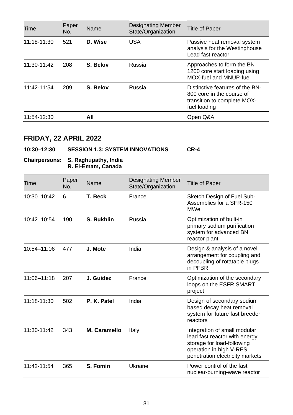| Time        | Paper<br>No. | Name     | <b>Designating Member</b><br>State/Organization | <b>Title of Paper</b>                                                                                       |
|-------------|--------------|----------|-------------------------------------------------|-------------------------------------------------------------------------------------------------------------|
| 11:18-11:30 | 521          | D. Wise  | <b>USA</b>                                      | Passive heat removal system<br>analysis for the Westinghouse<br>Lead fast reactor                           |
| 11:30-11:42 | 208          | S. Belov | Russia                                          | Approaches to form the BN<br>1200 core start loading using<br>MOX-fuel and MNUP-fuel                        |
| 11:42-11:54 | 209          | S. Belov | Russia                                          | Distinctive features of the BN-<br>800 core in the course of<br>transition to complete MOX-<br>fuel loading |
| 11:54-12:30 |              | All      |                                                 | Open Q&A                                                                                                    |

### **10:30–12:30 SESSION 1.3: SYSTEM INNOVATIONS CR-4**

#### **Chairpersons: S. Raghupathy, India R. El-Emam, Canada**

| Time        | Paper<br>No. | Name         | <b>Designating Member</b><br>State/Organization | Title of Paper                                                                                                                                            |
|-------------|--------------|--------------|-------------------------------------------------|-----------------------------------------------------------------------------------------------------------------------------------------------------------|
| 10:30-10:42 | 6            | T. Beck      | France                                          | Sketch Design of Fuel Sub-<br>Assemblies for a SFR-150<br><b>MWe</b>                                                                                      |
| 10:42-10:54 | 190          | S. Rukhlin   | Russia                                          | Optimization of built-in<br>primary sodium purification<br>system for advanced BN<br>reactor plant                                                        |
| 10:54-11:06 | 477          | J. Mote      | India                                           | Design & analysis of a novel<br>arrangement for coupling and<br>decoupling of rotatable plugs<br>in PFBR                                                  |
| 11:06-11:18 | 207          | J. Guidez    | France                                          | Optimization of the secondary<br>loops on the ESFR SMART<br>project                                                                                       |
| 11:18-11:30 | 502          | P. K. Patel  | India                                           | Design of secondary sodium<br>based decay heat removal<br>system for future fast breeder<br>reactors                                                      |
| 11:30-11:42 | 343          | M. Caramello | Italy                                           | Integration of small modular<br>lead fast reactor with energy<br>storage for load-following<br>operation in high V-RES<br>penetration electricity markets |
| 11:42-11:54 | 365          | S. Fomin     | Ukraine                                         | Power control of the fast<br>nuclear-burning-wave reactor                                                                                                 |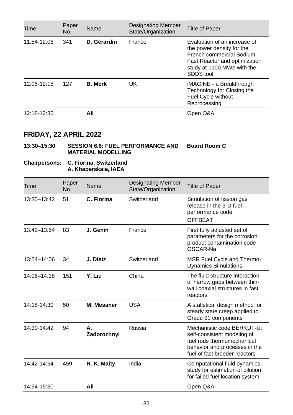| Time        | Paper<br>No. | Name           | <b>Designating Member</b><br>State/Organization | Title of Paper                                                                                                                                                    |
|-------------|--------------|----------------|-------------------------------------------------|-------------------------------------------------------------------------------------------------------------------------------------------------------------------|
| 11:54-12:06 | 341          | D. Gérardin    | France                                          | Evaluation of an increase of<br>the power density for the<br>French commercial Sodium<br>Fast Reactor and optimization<br>study at 1100 MWe with the<br>SDDS tool |
| 12:06-12:18 | 127          | <b>B.</b> Merk | UK                                              | iMAGINE - a Breakthrough<br>Technology for Closing the<br>Fuel Cycle without<br>Reprocessing                                                                      |
| 12:18-12:30 |              | All            |                                                 | Open Q&A                                                                                                                                                          |

#### **13:30–15:30 SESSION 6.6: FUEL PERFORMANCE AND Board Room C MATERIAL MODELLING**

#### **Chairpersons: C. Fiorina, Switzerland A. Khaperskaia, IAEA**

| Time            | Paper<br>No. | Name              | <b>Designating Member</b><br>State/Organization | <b>Title of Paper</b>                                                                                                                                     |
|-----------------|--------------|-------------------|-------------------------------------------------|-----------------------------------------------------------------------------------------------------------------------------------------------------------|
| 13:30-13:42     | 51           | C. Fiorina        | Switzerland                                     | Simulation of fission gas<br>release in the 3-D fuel<br>performance code<br><b>OFFBEAT</b>                                                                |
| 13:42-13:54     | 83           | J. Genin          | France                                          | First fully adjusted set of<br>parameters for the corrosion<br>product contamination code<br>OSCAR-Na                                                     |
| 13:54-14:06     | 34           | J. Dietz          | Switzerland                                     | <b>MSR Fuel Cycle and Thermo-</b><br><b>Dynamics Simulations</b>                                                                                          |
| $14:06 - 14:18$ | 151          | Y. Liu            | China                                           | The fluid structure interaction<br>of narrow gaps between thin-<br>wall coaxial structures in fast<br>reactors                                            |
| 14:18-14:30     | 50           | <b>M. Messner</b> | <b>USA</b>                                      | A statistical design method for<br>steady state creep applied to<br>Grade 91 components                                                                   |
| 14:30-14:42     | 94           | А.<br>Zadorozhnyi | Russia                                          | Mechanistic code BERKUT-U:<br>self-consistent modeling of<br>fuel rods thermomechanical<br>behavior and processes in the<br>fuel of fast breeder reactors |
| 14:42-14:54     | 459          | R. K. Maity       | India                                           | Computational fluid dynamics<br>study for estimation of dilution<br>for failed fuel location system                                                       |
| 14:54-15:30     |              | All               |                                                 | Open Q&A                                                                                                                                                  |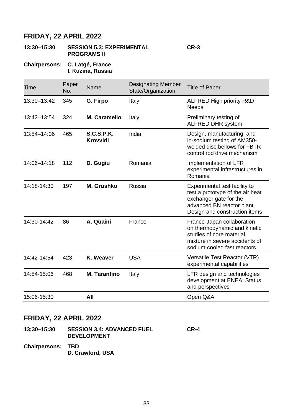#### **13:30–15:30 SESSION 5.3: EXPERIMENTAL PROGRAMS II CR-3**

**Chairpersons: C. Latgé, France I. Kuzina, Russia**

| Time        | Paper<br>No. | Name                   | <b>Designating Member</b><br>State/Organization | <b>Title of Paper</b>                                                                                                                                      |
|-------------|--------------|------------------------|-------------------------------------------------|------------------------------------------------------------------------------------------------------------------------------------------------------------|
| 13:30-13:42 | 345          | G. Firpo               | Italy                                           | ALFRED High priority R&D<br><b>Needs</b>                                                                                                                   |
| 13:42-13:54 | 324          | M. Caramello           | Italy                                           | Preliminary testing of<br>ALFRED DHR system                                                                                                                |
| 13:54-14:06 | 465          | S.C.S.P.K.<br>Krovvidi | India                                           | Design, manufacturing, and<br>in-sodium testing of AM350-<br>welded disc bellows for FBTR<br>control rod drive mechanism                                   |
| 14:06-14:18 | 112          | D. Gugiu               | Romania                                         | Implementation of LFR<br>experimental infrastructures in<br>Romania                                                                                        |
| 14:18-14:30 | 197          | M. Grushko             | Russia                                          | Experimental test facility to<br>test a prototype of the air heat<br>exchanger gate for the<br>advanced BN reactor plant.<br>Design and construction items |
| 14:30-14:42 | 86           | A. Quaini              | France                                          | France-Japan collaboration<br>on thermodynamic and kinetic<br>studies of core material<br>mixture in severe accidents of<br>sodium-cooled fast reactors    |
| 14:42-14:54 | 423          | K. Weaver              | <b>USA</b>                                      | Versatile Test Reactor (VTR)<br>experimental capabilities                                                                                                  |
| 14:54-15:06 | 468          | <b>M. Tarantino</b>    | Italy                                           | LFR design and technologies<br>development at ENEA: Status<br>and perspectives                                                                             |
| 15:06-15:30 |              | All                    |                                                 | Open Q&A                                                                                                                                                   |

### **FRIDAY, 22 APRIL 2022**

| 13:30-15:30              | <b>SESSION 3.4: ADVANCED FUEL</b><br><b>DEVELOPMENT</b> | $CR-4$ |
|--------------------------|---------------------------------------------------------|--------|
| <b>Chairpersons: TBD</b> | D. Crawford, USA                                        |        |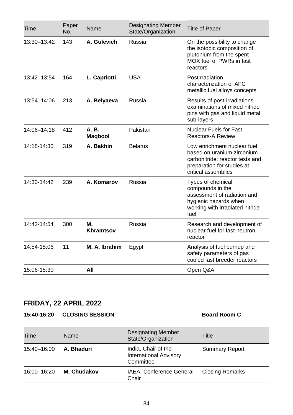| Time        | Paper<br>No. | Name                   | <b>Designating Member</b><br>State/Organization | <b>Title of Paper</b>                                                                                                                             |
|-------------|--------------|------------------------|-------------------------------------------------|---------------------------------------------------------------------------------------------------------------------------------------------------|
| 13:30-13:42 | 143          | A. Gulevich            | Russia                                          | On the possibility to change<br>the isotopic composition of<br>plutonium from the spent<br>MOX fuel of PWRs in fast<br>reactors                   |
| 13:42-13:54 | 164          | L. Capriotti           | <b>USA</b>                                      | Postirradiation<br>characterization of AFC<br>metallic fuel alloys concepts                                                                       |
| 13:54-14:06 | 213          | A. Belyaeva            | Russia                                          | Results of post-irradiations<br>examinations of mixed nitride<br>pins with gas and liquid metal<br>sub-layers                                     |
| 14:06-14:18 | 412          | A.B.<br><b>Magbool</b> | Pakistan                                        | <b>Nuclear Fuels for Fast</b><br><b>Reactors-A Review</b>                                                                                         |
| 14:18-14:30 | 319          | A. Bakhin              | <b>Belarus</b>                                  | Low enrichment nuclear fuel<br>based on uranium-zirconium<br>carbonitride: reactor tests and<br>preparation for studies at<br>critical assemblies |
| 14:30-14:42 | 239          | A. Komarov             | Russia                                          | Types of chemical<br>compounds in the<br>assessment of radiation and<br>hygienic hazards when<br>working with irradiated nitride<br>fuel          |
| 14:42-14:54 | 300          | М.<br>Khramtsov        | Russia                                          | Research and development of<br>nuclear fuel for fast neutron<br>reactor                                                                           |
| 14:54-15:06 | 11           | M. A. Ibrahim          | Egypt                                           | Analysis of fuel burnup and<br>safety parameters of gas<br>cooled fast breeder reactors                                                           |
| 15:06-15:30 |              | All                    |                                                 | Open Q&A                                                                                                                                          |

### **15:40-16:20 CLOSING SESSION Board Room C**

| Time        | Name        | <b>Designating Member</b><br>State/Organization                   | Title                  |
|-------------|-------------|-------------------------------------------------------------------|------------------------|
| 15:40-16:00 | A. Bhaduri  | India, Chair of the<br><b>International Advisory</b><br>Committee | <b>Summary Report</b>  |
| 16:00-16:20 | M. Chudakov | IAEA, Conference General<br>Chair                                 | <b>Closing Remarks</b> |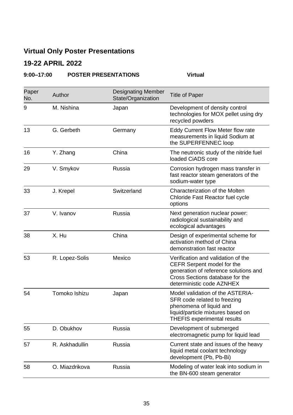### **Virtual Only Poster Presentations**

### **19-22 APRIL 2022**

### **9:00–17:00 POSTER PRESENTATIONS Virtual**

| Paper<br>No. | Author         | <b>Designating Member</b><br>State/Organization | <b>Title of Paper</b>                                                                                                                                                     |
|--------------|----------------|-------------------------------------------------|---------------------------------------------------------------------------------------------------------------------------------------------------------------------------|
| 9            | M. Nishina     | Japan                                           | Development of density control<br>technologies for MOX pellet using dry<br>recycled powders                                                                               |
| 13           | G. Gerbeth     | Germany                                         | Eddy Current Flow Meter flow rate<br>measurements in liquid Sodium at<br>the SUPERFENNEC loop                                                                             |
| 16           | Y. Zhang       | China                                           | The neutronic study of the nitride fuel<br>loaded CIADS core                                                                                                              |
| 29           | V. Smykov      | Russia                                          | Corrosion hydrogen mass transfer in<br>fast reactor steam generators of the<br>sodium-water type                                                                          |
| 33           | J. Krepel      | Switzerland                                     | Characterization of the Molten<br>Chloride Fast Reactor fuel cycle<br>options                                                                                             |
| 37           | V. Ivanov      | Russia                                          | Next generation nuclear power:<br>radiological sustainability and<br>ecological advantages                                                                                |
| 38           | X. Hu          | China                                           | Design of experimental scheme for<br>activation method of China<br>demonstration fast reactor                                                                             |
| 53           | R. Lopez-Solis | Mexico                                          | Verification and validation of the<br>CEFR Serpent model for the<br>generation of reference solutions and<br>Cross Sections database for the<br>deterministic code AZNHEX |
| 54           | Tomoko Ishizu  | Japan                                           | Model validation of the ASTERIA-<br>SFR code related to freezing<br>phenomena of liquid and<br>liquid/particle mixtures based on<br>THEFIS experimental results           |
| 55           | D. Obukhov     | Russia                                          | Development of submerged<br>electromagnetic pump for liquid lead                                                                                                          |
| 57           | R. Askhadullin | Russia                                          | Current state and issues of the heavy<br>liquid metal coolant technology<br>development (Pb, Pb-Bi)                                                                       |
| 58           | O. Miazdrikova | Russia                                          | Modeling of water leak into sodium in<br>the BN-600 steam generator                                                                                                       |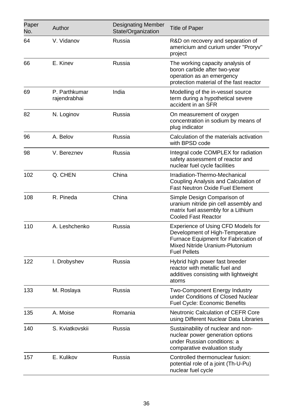| Paper<br>No. | Author                        | <b>Designating Member</b><br>State/Organization | <b>Title of Paper</b>                                                                                                                                                   |
|--------------|-------------------------------|-------------------------------------------------|-------------------------------------------------------------------------------------------------------------------------------------------------------------------------|
| 64           | V. Vidanov                    | Russia                                          | R&D on recovery and separation of<br>americium and curium under "Proryv"<br>project                                                                                     |
| 66           | E. Kinev                      | Russia                                          | The working capacity analysis of<br>boron carbide after two-year<br>operation as an emergency<br>protection material of the fast reactor                                |
| 69           | P. Parthkumar<br>rajendrabhai | India                                           | Modelling of the in-vessel source<br>term during a hypothetical severe<br>accident in an SFR                                                                            |
| 82           | N. Loginov                    | Russia                                          | On measurement of oxygen<br>concentration in sodium by means of<br>plug indicator                                                                                       |
| 96           | A. Belov                      | Russia                                          | Calculation of the materials activation<br>with BPSD code                                                                                                               |
| 98           | V. Bereznev                   | Russia                                          | Integral code COMPLEX for radiation<br>safety assessment of reactor and<br>nuclear fuel cycle facilities                                                                |
| 102          | Q. CHEN                       | China                                           | Irradiation-Thermo-Mechanical<br>Coupling Analysis and Calculation of<br><b>Fast Neutron Oxide Fuel Element</b>                                                         |
| 108          | R. Pineda                     | China                                           | Simple Design Comparison of<br>uranium nitride pin cell assembly and<br>matrix fuel assembly for a Lithium<br><b>Cooled Fast Reactor</b>                                |
| 110          | A. Leshchenko                 | Russia                                          | Experience of Using CFD Models for<br>Development of High-Temperature<br>Furnace Equipment for Fabrication of<br>Mixed Nitride Uranium-Plutonium<br><b>Fuel Pellets</b> |
| 122          | I. Drobyshev                  | Russia                                          | Hybrid high power fast breeder<br>reactor with metallic fuel and<br>additives consisting with lightweight<br>atoms                                                      |
| 133          | M. Roslaya                    | Russia                                          | Two-Component Energy Industry<br>under Conditions of Closed Nuclear<br>Fuel Cycle: Economic Benefits                                                                    |
| 135          | A. Moise                      | Romania                                         | Neutronic Calculation of CEFR Core<br>using Different Nuclear Data Libraries                                                                                            |
| 140          | S. Kviatkovskii               | Russia                                          | Sustainability of nuclear and non-<br>nuclear power generation options<br>under Russian conditions: a<br>comparative evaluation study                                   |
| 157          | E. Kulikov                    | Russia                                          | Controlled thermonuclear fusion:<br>potential role of a joint (Th-U-Pu)<br>nuclear fuel cycle                                                                           |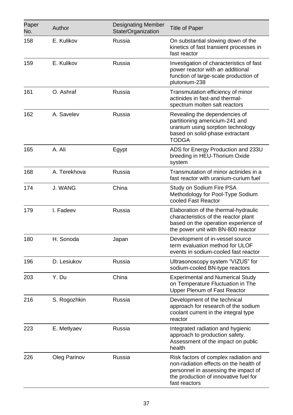| Paper<br>No. | Author       | <b>Designating Member</b><br>State/Organization | <b>Title of Paper</b>                                                                                                                                                             |
|--------------|--------------|-------------------------------------------------|-----------------------------------------------------------------------------------------------------------------------------------------------------------------------------------|
| 158          | E. Kulikov   | Russia                                          | On substantial slowing down of the<br>kinetics of fast transient processes in<br>fast reactor                                                                                     |
| 159          | E. Kulikov   | Russia                                          | Investigation of characteristics of fast<br>power reactor with an additional<br>function of large-scale production of<br>plutonium-238                                            |
| 161          | O. Ashraf    | Russia                                          | Transmutation efficiency of minor<br>actinides in fast-and thermal-<br>spectrum molten salt reactors                                                                              |
| 162          | A. Savelev   | Russia                                          | Revealing the dependencies of<br>partitioning americium-241 and<br>uranium using sorption technology<br>based on solid-phase extractant<br>TODGA                                  |
| 165          | A. Ali       | Egypt                                           | ADS for Energy Production and 233U<br>breeding in HEU-Thorium Oxide<br>system                                                                                                     |
| 168          | A. Terekhova | Russia                                          | Transmutation of minor actinides in a<br>fast reactor with uranium-curium fuel                                                                                                    |
| 174          | J. WANG      | China                                           | Study on Sodium Fire PSA<br>Methodology for Pool-Type Sodium<br>cooled Fast Reactor                                                                                               |
| 179          | I. Fadeev    | Russia                                          | Elaboration of the thermal-hydraulic<br>characteristics of the reactor plant<br>based on the operation experience of<br>the power unit with BN-800 reactor                        |
| 180          | H. Sonoda    | Japan                                           | Development of in-vessel source<br>term evaluation method for ULOF<br>events in sodium-cooled fast reactor                                                                        |
| 196          | D. Lesiukov  | Russia                                          | Ultrasonoscopy system "VIZUS" for<br>sodium-cooled BN-type reactors                                                                                                               |
| 203          | Y. Du        | China                                           | <b>Experimental and Numerical Study</b><br>on Temperature Fluctuation in The<br>Upper Plenum of Fast Reactor                                                                      |
| 216          | S. Rogozhkin | Russia                                          | Development of the technical<br>approach for research of the sodium<br>coolant current in the integral type<br>reactor                                                            |
| 223          | E. Metlyaev  | Russia                                          | Integrated radiation and hygienic<br>approach to production safety.<br>Assessment of the impact on public<br>health                                                               |
| 226          | Oleg Parinov | Russia                                          | Risk factors of complex radiation and<br>non-radiation effects on the health of<br>personnel in assessing the impact of<br>the production of innovative fuel for<br>fast reactors |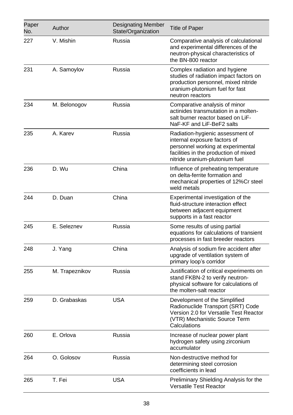| Paper<br>No. | Author         | <b>Designating Member</b><br>State/Organization | <b>Title of Paper</b>                                                                                                                                                            |
|--------------|----------------|-------------------------------------------------|----------------------------------------------------------------------------------------------------------------------------------------------------------------------------------|
| 227          | V. Mishin      | Russia                                          | Comparative analysis of calculational<br>and experimental differences of the<br>neutron-physical characteristics of<br>the BN-800 reactor                                        |
| 231          | A. Samoylov    | Russia                                          | Complex radiation and hygiene<br>studies of radiation impact factors on<br>production personnel, mixed nitride<br>uranium-plutonium fuel for fast<br>neutron reactors            |
| 234          | M. Belonogov   | Russia                                          | Comparative analysis of minor<br>actinides transmutation in a molten-<br>salt burner reactor based on LiF-<br>NaF-KF and LiF-BeF2 salts                                          |
| 235          | A. Karev       | Russia                                          | Radiation-hygienic assessment of<br>internal exposure factors of<br>personnel working at experimental<br>facilities in the production of mixed<br>nitride uranium-plutonium fuel |
| 236          | D. Wu          | China                                           | Influence of preheating temperature<br>on delta-ferrite formation and<br>mechanical properties of 12%Cr steel<br>weld metals                                                     |
| 244          | D. Duan        | China                                           | Experimental investigation of the<br>fluid-structure interaction effect<br>between adjacent equipment<br>supports in a fast reactor                                              |
| 245          | E. Seleznev    | Russia                                          | Some results of using partial<br>equations for calculations of transient<br>processes in fast breeder reactors                                                                   |
| 248          | J. Yang        | China                                           | Analysis of sodium fire accident after<br>upgrade of ventilation system of<br>primary loop's corridor                                                                            |
| 255          | M. Trapeznikov | Russia                                          | Justification of critical experiments on<br>stand FKBN-2 to verify neutron-<br>physical software for calculations of<br>the molten-salt reactor                                  |
| 259          | D. Grabaskas   | USA                                             | Development of the Simplified<br>Radionuclide Transport (SRT) Code<br>Version 2.0 for Versatile Test Reactor<br>(VTR) Mechanistic Source Term<br>Calculations                    |
| 260          | E. Orlova      | Russia                                          | Increase of nuclear power plant<br>hydrogen safety using zirconium<br>accumulator                                                                                                |
| 264          | O. Golosov     | Russia                                          | Non-destructive method for<br>determining steel corrosion<br>coefficients in lead                                                                                                |
| 265          | T. Fei         | <b>USA</b>                                      | Preliminary Shielding Analysis for the<br>Versatile Test Reactor                                                                                                                 |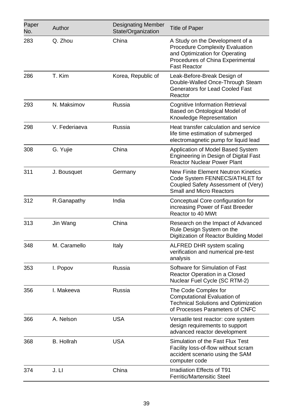| Paper<br>No. | Author            | <b>Designating Member</b><br>State/Organization | <b>Title of Paper</b>                                                                                                                                                  |
|--------------|-------------------|-------------------------------------------------|------------------------------------------------------------------------------------------------------------------------------------------------------------------------|
| 283          | Q. Zhou           | China                                           | A Study on the Development of a<br><b>Procedure Complexity Evaluation</b><br>and Optimization for Operating<br>Procedures of China Experimental<br><b>Fast Reactor</b> |
| 286          | T. Kim            | Korea, Republic of                              | Leak-Before-Break Design of<br>Double-Walled Once-Through Steam<br>Generators for Lead Cooled Fast<br>Reactor                                                          |
| 293          | N. Maksimov       | Russia                                          | <b>Cognitive Information Retrieval</b><br>Based on Ontological Model of<br>Knowledge Representation                                                                    |
| 298          | V. Federiaeva     | Russia                                          | Heat transfer calculation and service<br>life time estimation of submerged<br>electromagnetic pump for liquid lead                                                     |
| 308          | G. Yujie          | China                                           | Application of Model Based System<br>Engineering in Design of Digital Fast<br><b>Reactor Nuclear Power Plant</b>                                                       |
| 311          | J. Bousquet       | Germany                                         | <b>New Finite Element Neutron Kinetics</b><br>Code System FENNECS/ATHLET for<br>Coupled Safety Assessment of (Very)<br><b>Small and Micro Reactors</b>                 |
| 312          | R.Ganapathy       | India                                           | Conceptual Core configuration for<br>increasing Power of Fast Breeder<br>Reactor to 40 MWt                                                                             |
| 313          | Jin Wang          | China                                           | Research on the Impact of Advanced<br>Rule Design System on the<br>Digitization of Reactor Building Model                                                              |
| 348          | M. Caramello      | Italy                                           | ALFRED DHR system scaling<br>verification and numerical pre-test<br>analysis                                                                                           |
| 353          | I. Popov          | Russia                                          | Software for Simulation of Fast<br>Reactor Operation in a Closed<br>Nuclear Fuel Cycle (SC RTM-2)                                                                      |
| 356          | I. Makeeva        | Russia                                          | The Code Complex for<br>Computational Evaluation of<br><b>Technical Solutions and Optimization</b><br>of Processes Parameters of CNFC                                  |
| 366          | A. Nelson         | <b>USA</b>                                      | Versatile test reactor: core system<br>design requirements to support<br>advanced reactor development                                                                  |
| 368          | <b>B.</b> Hollrah | <b>USA</b>                                      | Simulation of the Fast Flux Test<br>Facility loss-of-flow without scram<br>accident scenario using the SAM<br>computer code                                            |
| 374          | J. LI             | China                                           | Irradiation Effects of T91<br><b>Ferritic/Martensitic Steel</b>                                                                                                        |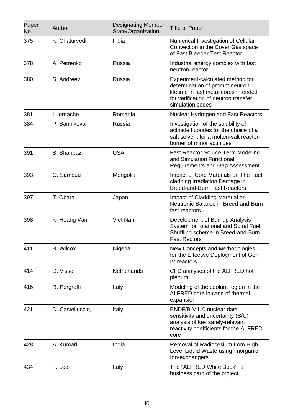| Paper<br>No. | Author           | <b>Designating Member</b><br>State/Organization | <b>Title of Paper</b>                                                                                                                                                    |
|--------------|------------------|-------------------------------------------------|--------------------------------------------------------------------------------------------------------------------------------------------------------------------------|
| 375          | K. Chaturvedi    | India                                           | Numerical Investigation of Cellular<br>Convection in the Cover Gas space<br>of Fast Breeder Test Reactor                                                                 |
| 378          | A. Petrenko      | Russia                                          | Industrial energy complex with fast<br>neutron reactor                                                                                                                   |
| 380          | S. Andreev       | Russia                                          | Experiment-calculated method for<br>determination of prompt neutron<br>lifetime in fast metal cores intended<br>for verification of neutron transfer<br>simulation codes |
| 381          | I. lordache      | Romania                                         | Nuclear Hydrogen and Fast Reactors                                                                                                                                       |
| 384          | P. Sannikova     | Russia                                          | Investigation of the solubility of<br>actinide fluorides for the choice of a<br>salt solvent for a molten-salt reactor-<br>burner of minor actinides                     |
| 391          | S. Shahbazi      | <b>USA</b>                                      | <b>Fast Reactor Source Term Modeling</b><br>and Simulation Functional<br>Requirements and Gap Assessment                                                                 |
| 393          | O. Sambuu        | Mongolia                                        | Impact of Core Materials on The Fuel<br>cladding Irradiation Damage in<br>Breed-and-Burn Fast Reactors                                                                   |
| 397          | T. Obara         | Japan                                           | Impact of Cladding Material on<br>Neutronic Balance in Breed-and-Burn<br>fast reactors                                                                                   |
| 398          | K. Hoang Van     | Viet Nam                                        | Development of Burnup Analysis<br>System for rotational and Spiral Fuel<br>Shuffling scheme in Breed-and-Burn<br><b>Fast Rectors</b>                                     |
| 411          | <b>B.</b> Wilcox | Nigeria                                         | New Concepts and Methodologies<br>for the Effective Deployment of Gen<br>IV reactors                                                                                     |
| 414          | D. Visser        | <b>Netherlands</b>                              | CFD analyses of the ALFRED hot<br>plenum                                                                                                                                 |
| 416          | R. Pergreffi     | Italy                                           | Modeling of the coolant region in the<br>ALFRED core in case of thermal<br>expansion                                                                                     |
| 421          | D. Castelluccio, | Italy                                           | ENDF/B-VIII.0 nuclear data<br>sensitivity and uncertainty (S/U)<br>analysis of key safety-relevant<br>reactivity coefficients for the ALFRED<br>core                     |
| 428          | A. Kumari        | India                                           | Removal of Radiocesium from High-<br>Level Liquid Waste using Inorganic<br>Ion-exchangers                                                                                |
| 434          | F. Lodi          | Italy                                           | The "ALFRED White Book": a<br>business card of the project                                                                                                               |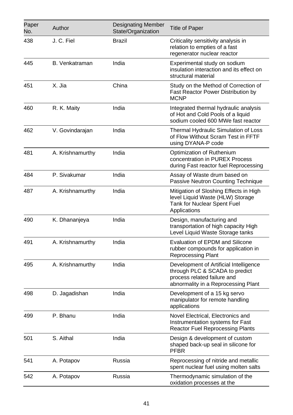| Paper<br>No. | Author           | <b>Designating Member</b><br>State/Organization | <b>Title of Paper</b>                                                                                                                          |
|--------------|------------------|-------------------------------------------------|------------------------------------------------------------------------------------------------------------------------------------------------|
| 438          | J. C. Fiel       | Brazil                                          | Criticality sensitivity analysis in<br>relation to empties of a fast<br>regenerator nuclear reactor                                            |
| 445          | B. Venkatraman   | India                                           | Experimental study on sodium<br>insulation interaction and its effect on<br>structural material                                                |
| 451          | X. Jia           | China                                           | Study on the Method of Correction of<br>Fast Reactor Power Distribution by<br><b>MCNP</b>                                                      |
| 460          | R. K. Maity      | India                                           | Integrated thermal hydraulic analysis<br>of Hot and Cold Pools of a liquid<br>sodium cooled 600 MWe fast reactor                               |
| 462          | V. Govindarajan  | India                                           | Thermal Hydraulic Simulation of Loss<br>of Flow Without Scram Test in FFTF<br>using DYANA-P code                                               |
| 481          | A. Krishnamurthy | India                                           | Optimization of Ruthenium<br>concentration in PUREX Process<br>during Fast reactor fuel Reprocessing                                           |
| 484          | P. Sivakumar     | India                                           | Assay of Waste drum based on<br>Passive Neutron Counting Technique                                                                             |
| 487          | A. Krishnamurthy | India                                           | Mitigation of Sloshing Effects in High<br>level Liquid Waste (HLW) Storage<br>Tank for Nuclear Spent Fuel<br>Applications                      |
| 490          | K. Dhananjeya    | India                                           | Design, manufacturing and<br>transportation of high capacity High<br>Level Liquid Waste Storage tanks                                          |
| 491          | A. Krishnamurthy | India                                           | Evaluation of EPDM and Silicone<br>rubber compounds for application in<br>Reprocessing Plant                                                   |
| 495          | A. Krishnamurthy | India                                           | Development of Artificial Intelligence<br>through PLC & SCADA to predict<br>process related failure and<br>abnormality in a Reprocessing Plant |
| 498          | D. Jagadishan    | India                                           | Development of a 15 kg servo<br>manipulator for remote handling<br>applications                                                                |
| 499          | P. Bhanu         | India                                           | Novel Electrical, Electronics and<br>Instrumentation systems for Fast<br>Reactor Fuel Reprocessing Plants                                      |
| 501          | S. Aithal        | India                                           | Design & development of custom<br>shaped back-up seal in silicone for<br>PFBR                                                                  |
| 541          | A. Potapov       | Russia                                          | Reprocessing of nitride and metallic<br>spent nuclear fuel using molten salts                                                                  |
| 542          | A. Potapov       | Russia                                          | Thermodynamic simulation of the<br>oxidation processes at the                                                                                  |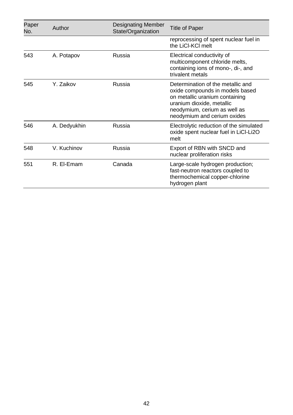| Paper<br>No. | Author       | <b>Designating Member</b><br>State/Organization | <b>Title of Paper</b>                                                                                                                                                                              |
|--------------|--------------|-------------------------------------------------|----------------------------------------------------------------------------------------------------------------------------------------------------------------------------------------------------|
|              |              |                                                 | reprocessing of spent nuclear fuel in<br>the LiCl-KCl melt                                                                                                                                         |
| 543          | A. Potapov   | Russia                                          | Electrical conductivity of<br>multicomponent chloride melts,<br>containing ions of mono-, di-, and<br>trivalent metals                                                                             |
| 545          | Y. Zaikov    | Russia                                          | Determination of the metallic and<br>oxide compounds in models based<br>on metallic uranium containing<br>uranium dioxide, metallic<br>neodymium, cerium as well as<br>neodymium and cerium oxides |
| 546          | A. Dedyukhin | Russia                                          | Electrolytic reduction of the simulated<br>oxide spent nuclear fuel in LiCI-Li2O<br>melt                                                                                                           |
| 548          | V. Kuchinov  | Russia                                          | Export of RBN with SNCD and<br>nuclear proliferation risks                                                                                                                                         |
| 551          | R. El-Emam   | Canada                                          | Large-scale hydrogen production;<br>fast-neutron reactors coupled to<br>thermochemical copper-chlorine<br>hydrogen plant                                                                           |